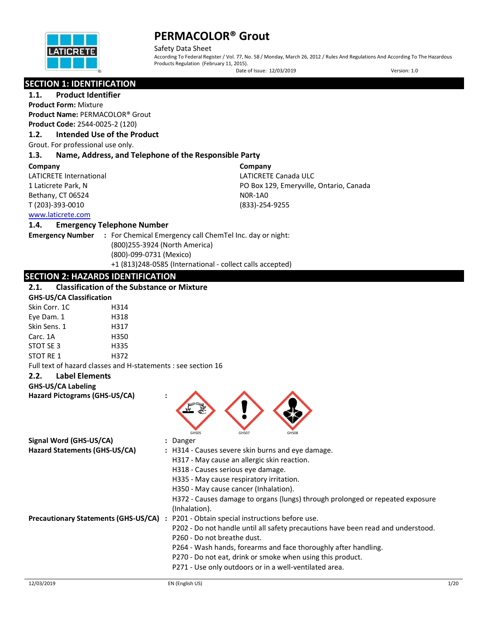

Safety Data Sheet According To Federal Register / Vol. 77, No. 58 / Monday, March 26, 2012 / Rules And Regulations And According To The Hazardous Products Regulation (February 11, 2015).

Date of Issue: 12/03/2019 Version: 1.0

# **SECTION 1: IDENTIFICATION**

# **1.1. Product Identifier**

**Product Form:** Mixture **Product Name:** PERMACOLOR® Grout **Product Code:** 2544-0025-2 (120)

### **1.2. Intended Use of the Product**

Grout. For professional use only.

#### **1.3. Name, Address, and Telephone of the Responsible Party**

#### **Company**

LATICRETE International 1 Laticrete Park, N Bethany, CT 06524 T (203)-393-0010

**Company** LATICRETE Canada ULC PO Box 129, Emeryville, Ontario, Canada N0R-1A0 (833)-254-9255

# [www.laticrete.com](http://www.laticrete.com/)

#### **1.4. Emergency Telephone Number**

**Emergency Number :** For Chemical Emergency call ChemTel Inc. day or night: (800)255-3924 (North America) (800)-099-0731 (Mexico) +1 (813)248-0585 (International - collect calls accepted)

## **SECTION 2: HAZARDS IDENTIFICATION**

#### **2.1. Classification of the Substance or Mixture**

# **GHS-US/CA Classification**

| Skin Corr. 1C | H314 |
|---------------|------|
| Eye Dam. 1    | H318 |
| Skin Sens. 1  | H317 |
| Carc. 1A      | H350 |
| STOT SE 3     | H335 |
| STOT RE 1     | H372 |

Full text of hazard classes and H-statements : see section 16

### **2.2. Label Elements**

**GHS-US/CA Labeling Hazard Pictograms (GHS-US/CA) :**



| Signal Word (GHS-US/CA)                     |  | : Danger                                                                         |
|---------------------------------------------|--|----------------------------------------------------------------------------------|
| Hazard Statements (GHS-US/CA)               |  | : H314 - Causes severe skin burns and eye damage.                                |
|                                             |  | H317 - May cause an allergic skin reaction.                                      |
|                                             |  | H318 - Causes serious eye damage.                                                |
|                                             |  | H335 - May cause respiratory irritation.                                         |
|                                             |  | H350 - May cause cancer (Inhalation).                                            |
|                                             |  | H372 - Causes damage to organs (lungs) through prolonged or repeated exposure    |
|                                             |  | (Inhalation).                                                                    |
| <b>Precautionary Statements (GHS-US/CA)</b> |  | : P201 - Obtain special instructions before use.                                 |
|                                             |  | P202 - Do not handle until all safety precautions have been read and understood. |
|                                             |  | P260 - Do not breathe dust.                                                      |
|                                             |  | P264 - Wash hands, forearms and face thoroughly after handling.                  |
|                                             |  | P270 - Do not eat, drink or smoke when using this product.                       |
|                                             |  | P271 - Use only outdoors or in a well-ventilated area.                           |
|                                             |  |                                                                                  |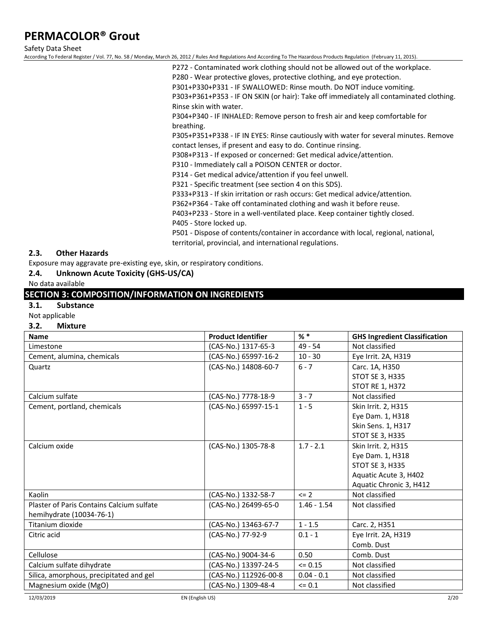Safety Data Sheet

According To Federal Register / Vol. 77, No. 58 / Monday, March 26, 2012 / Rules And Regulations And According To The Hazardous Products Regulation (February 11, 2015).

P272 - Contaminated work clothing should not be allowed out of the workplace.

P280 - Wear protective gloves, protective clothing, and eye protection.

P301+P330+P331 - IF SWALLOWED: Rinse mouth. Do NOT induce vomiting.

P303+P361+P353 - IF ON SKIN (or hair): Take off immediately all contaminated clothing. Rinse skin with water.

P304+P340 - IF INHALED: Remove person to fresh air and keep comfortable for breathing.

P305+P351+P338 - IF IN EYES: Rinse cautiously with water for several minutes. Remove contact lenses, if present and easy to do. Continue rinsing.

P308+P313 - If exposed or concerned: Get medical advice/attention.

P310 - Immediately call a POISON CENTER or doctor.

P314 - Get medical advice/attention if you feel unwell.

P321 - Specific treatment (see section 4 on this SDS).

P333+P313 - If skin irritation or rash occurs: Get medical advice/attention.

P362+P364 - Take off contaminated clothing and wash it before reuse.

P403+P233 - Store in a well-ventilated place. Keep container tightly closed.

P405 - Store locked up.

P501 - Dispose of contents/container in accordance with local, regional, national, territorial, provincial, and international regulations.

### **2.3. Other Hazards**

Exposure may aggravate pre-existing eye, skin, or respiratory conditions.

### **2.4. Unknown Acute Toxicity (GHS-US/CA)**

### No data available

# **SECTION 3: COMPOSITION/INFORMATION ON INGREDIENTS**

### **3.1. Substance**

#### Not applicable

#### **3.2. Mixture**

| <b>Name</b>                               | <b>Product Identifier</b> | $%$ $*$       | <b>GHS Ingredient Classification</b> |
|-------------------------------------------|---------------------------|---------------|--------------------------------------|
| Limestone                                 | (CAS-No.) 1317-65-3       | $49 - 54$     | Not classified                       |
| Cement, alumina, chemicals                | (CAS-No.) 65997-16-2      | $10 - 30$     | Eye Irrit. 2A, H319                  |
| Quartz                                    | (CAS-No.) 14808-60-7      | $6 - 7$       | Carc. 1A, H350                       |
|                                           |                           |               | STOT SE 3, H335                      |
|                                           |                           |               | <b>STOT RE 1, H372</b>               |
| Calcium sulfate                           | (CAS-No.) 7778-18-9       | $3 - 7$       | Not classified                       |
| Cement, portland, chemicals               | (CAS-No.) 65997-15-1      | $1 - 5$       | Skin Irrit. 2, H315                  |
|                                           |                           |               | Eye Dam. 1, H318                     |
|                                           |                           |               | Skin Sens. 1, H317                   |
|                                           |                           |               | STOT SE 3, H335                      |
| Calcium oxide                             | (CAS-No.) 1305-78-8       | $1.7 - 2.1$   | Skin Irrit. 2, H315                  |
|                                           |                           |               | Eye Dam. 1, H318                     |
|                                           |                           |               | STOT SE 3, H335                      |
|                                           |                           |               | Aquatic Acute 3, H402                |
|                                           |                           |               | Aquatic Chronic 3, H412              |
| Kaolin                                    | (CAS-No.) 1332-58-7       | $\leq$ 2      | Not classified                       |
| Plaster of Paris Contains Calcium sulfate | (CAS-No.) 26499-65-0      | $1.46 - 1.54$ | Not classified                       |
| hemihydrate (10034-76-1)                  |                           |               |                                      |
| Titanium dioxide                          | (CAS-No.) 13463-67-7      | $1 - 1.5$     | Carc. 2, H351                        |
| Citric acid                               | (CAS-No.) 77-92-9         | $0.1 - 1$     | Eye Irrit. 2A, H319                  |
|                                           |                           |               | Comb. Dust                           |
| Cellulose                                 | (CAS-No.) 9004-34-6       | 0.50          | Comb. Dust                           |
| Calcium sulfate dihydrate                 | (CAS-No.) 13397-24-5      | $\leq$ 0.15   | Not classified                       |
| Silica, amorphous, precipitated and gel   | (CAS-No.) 112926-00-8     | $0.04 - 0.1$  | Not classified                       |
| Magnesium oxide (MgO)                     | (CAS-No.) 1309-48-4       | $= 0.1$       | Not classified                       |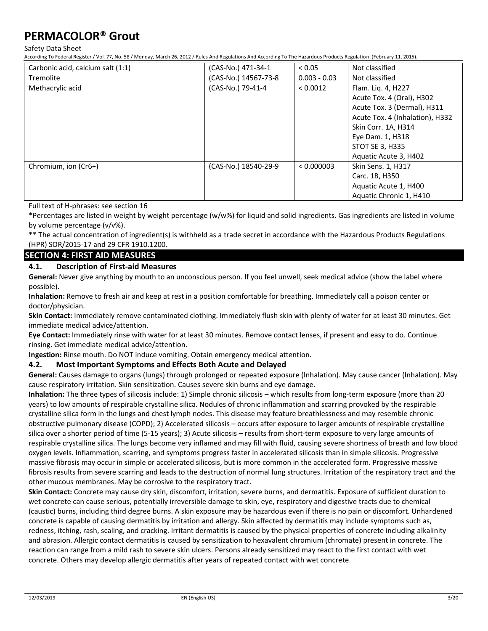Safety Data Sheet

According To Federal Register / Vol. 77, No. 58 / Monday, March 26, 2012 / Rules And Regulations And According To The Hazardous Products Regulation (February 11, 2015).

| Carbonic acid, calcium salt (1:1) | (CAS-No.) 471-34-1   | < 0.05         | Not classified                  |
|-----------------------------------|----------------------|----------------|---------------------------------|
| <b>Tremolite</b>                  | (CAS-No.) 14567-73-8 | $0.003 - 0.03$ | Not classified                  |
| Methacrylic acid                  | (CAS-No.) 79-41-4    | < 0.0012       | Flam. Liq. 4, H227              |
|                                   |                      |                | Acute Tox. 4 (Oral), H302       |
|                                   |                      |                | Acute Tox. 3 (Dermal), H311     |
|                                   |                      |                | Acute Tox. 4 (Inhalation), H332 |
|                                   |                      |                | Skin Corr. 1A, H314             |
|                                   |                      |                | Eye Dam. 1, H318                |
|                                   |                      |                | <b>STOT SE 3, H335</b>          |
|                                   |                      |                | Aquatic Acute 3, H402           |
| Chromium, ion (Cr6+)              | (CAS-No.) 18540-29-9 | < 0.000003     | Skin Sens. 1, H317              |
|                                   |                      |                | Carc. 1B, H350                  |
|                                   |                      |                | Aquatic Acute 1, H400           |
|                                   |                      |                | Aquatic Chronic 1, H410         |

Full text of H-phrases: see section 16

\*Percentages are listed in weight by weight percentage (w/w%) for liquid and solid ingredients. Gas ingredients are listed in volume by volume percentage (v/v%).

\*\* The actual concentration of ingredient(s) is withheld as a trade secret in accordance with the Hazardous Products Regulations (HPR) SOR/2015-17 and 29 CFR 1910.1200.

## **SECTION 4: FIRST AID MEASURES**

### **4.1. Description of First-aid Measures**

**General:** Never give anything by mouth to an unconscious person. If you feel unwell, seek medical advice (show the label where possible).

**Inhalation:** Remove to fresh air and keep at rest in a position comfortable for breathing. Immediately call a poison center or doctor/physician.

**Skin Contact:** Immediately remove contaminated clothing. Immediately flush skin with plenty of water for at least 30 minutes. Get immediate medical advice/attention.

**Eye Contact:** Immediately rinse with water for at least 30 minutes. Remove contact lenses, if present and easy to do. Continue rinsing. Get immediate medical advice/attention.

**Ingestion:** Rinse mouth. Do NOT induce vomiting. Obtain emergency medical attention.

### **4.2. Most Important Symptoms and Effects Both Acute and Delayed**

**General:** Causes damage to organs (lungs) through prolonged or repeated exposure (Inhalation). May cause cancer (Inhalation). May cause respiratory irritation. Skin sensitization. Causes severe skin burns and eye damage.

**Inhalation:** The three types of silicosis include: 1) Simple chronic silicosis – which results from long-term exposure (more than 20 years) to low amounts of respirable crystalline silica. Nodules of chronic inflammation and scarring provoked by the respirable crystalline silica form in the lungs and chest lymph nodes. This disease may feature breathlessness and may resemble chronic obstructive pulmonary disease (COPD); 2) Accelerated silicosis – occurs after exposure to larger amounts of respirable crystalline silica over a shorter period of time (5-15 years); 3) Acute silicosis – results from short-term exposure to very large amounts of respirable crystalline silica. The lungs become very inflamed and may fill with fluid, causing severe shortness of breath and low blood oxygen levels. Inflammation, scarring, and symptoms progress faster in accelerated silicosis than in simple silicosis. Progressive massive fibrosis may occur in simple or accelerated silicosis, but is more common in the accelerated form. Progressive massive fibrosis results from severe scarring and leads to the destruction of normal lung structures. Irritation of the respiratory tract and the other mucous membranes. May be corrosive to the respiratory tract.

**Skin Contact:** Concrete may cause dry skin, discomfort, irritation, severe burns, and dermatitis. Exposure of sufficient duration to wet concrete can cause serious, potentially irreversible damage to skin, eye, respiratory and digestive tracts due to chemical (caustic) burns, including third degree burns. A skin exposure may be hazardous even if there is no pain or discomfort. Unhardened concrete is capable of causing dermatitis by irritation and allergy. Skin affected by dermatitis may include symptoms such as, redness, itching, rash, scaling, and cracking. Irritant dermatitis is caused by the physical properties of concrete including alkalinity and abrasion. Allergic contact dermatitis is caused by sensitization to hexavalent chromium (chromate) present in concrete. The reaction can range from a mild rash to severe skin ulcers. Persons already sensitized may react to the first contact with wet concrete. Others may develop allergic dermatitis after years of repeated contact with wet concrete.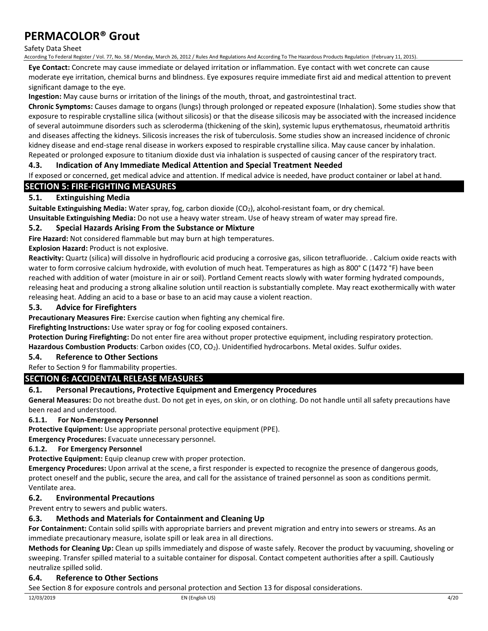#### Safety Data Sheet

According To Federal Register / Vol. 77, No. 58 / Monday, March 26, 2012 / Rules And Regulations And According To The Hazardous Products Regulation (February 11, 2015).

**Eye Contact:** Concrete may cause immediate or delayed irritation or inflammation. Eye contact with wet concrete can cause moderate eye irritation, chemical burns and blindness. Eye exposures require immediate first aid and medical attention to prevent significant damage to the eye.

**Ingestion:** May cause burns or irritation of the linings of the mouth, throat, and gastrointestinal tract.

**Chronic Symptoms:** Causes damage to organs (lungs) through prolonged or repeated exposure (Inhalation). Some studies show that exposure to respirable crystalline silica (without silicosis) or that the disease silicosis may be associated with the increased incidence of several autoimmune disorders such as scleroderma (thickening of the skin), systemic lupus erythematosus, rheumatoid arthritis and diseases affecting the kidneys. Silicosis increases the risk of tuberculosis. Some studies show an increased incidence of chronic kidney disease and end-stage renal disease in workers exposed to respirable crystalline silica. May cause cancer by inhalation. Repeated or prolonged exposure to titanium dioxide dust via inhalation is suspected of causing cancer of the respiratory tract.

### **4.3. Indication of Any Immediate Medical Attention and Special Treatment Needed**

If exposed or concerned, get medical advice and attention. If medical advice is needed, have product container or label at hand.

## **SECTION 5: FIRE-FIGHTING MEASURES**

## **5.1. Extinguishing Media**

**Suitable Extinguishing Media:** Water spray, fog, carbon dioxide (CO<sub>2</sub>), alcohol-resistant foam, or dry chemical.

**Unsuitable Extinguishing Media:** Do not use a heavy water stream. Use of heavy stream of water may spread fire.

### **5.2. Special Hazards Arising From the Substance or Mixture**

**Fire Hazard:** Not considered flammable but may burn at high temperatures.

**Explosion Hazard:** Product is not explosive.

**Reactivity:** Quartz (silica) will dissolve in hydroflouric acid producing a corrosive gas, silicon tetrafluoride. . Calcium oxide reacts with water to form corrosive calcium hydroxide, with evolution of much heat. Temperatures as high as 800° C (1472 °F) have been reached with addition of water (moisture in air or soil). Portland Cement reacts slowly with water forming hydrated compounds, releasing heat and producing a strong alkaline solution until reaction is substantially complete. May react exothermically with water releasing heat. Adding an acid to a base or base to an acid may cause a violent reaction.

### **5.3. Advice for Firefighters**

**Precautionary Measures Fire:** Exercise caution when fighting any chemical fire.

**Firefighting Instructions:** Use water spray or fog for cooling exposed containers.

**Protection During Firefighting:** Do not enter fire area without proper protective equipment, including respiratory protection.

Hazardous Combustion Products: Carbon oxides (CO, CO<sub>2</sub>). Unidentified hydrocarbons. Metal oxides. Sulfur oxides.

### **5.4. Reference to Other Sections**

Refer to Section 9 for flammability properties.

## **SECTION 6: ACCIDENTAL RELEASE MEASURES**

## **6.1. Personal Precautions, Protective Equipment and Emergency Procedures**

**General Measures:** Do not breathe dust. Do not get in eyes, on skin, or on clothing. Do not handle until all safety precautions have been read and understood.

### **6.1.1. For Non-Emergency Personnel**

**Protective Equipment:** Use appropriate personal protective equipment (PPE).

**Emergency Procedures:** Evacuate unnecessary personnel.

### **6.1.2. For Emergency Personnel**

**Protective Equipment:** Equip cleanup crew with proper protection.

**Emergency Procedures:** Upon arrival at the scene, a first responder is expected to recognize the presence of dangerous goods, protect oneself and the public, secure the area, and call for the assistance of trained personnel as soon as conditions permit. Ventilate area.

### **6.2. Environmental Precautions**

Prevent entry to sewers and public waters.

### **6.3. Methods and Materials for Containment and Cleaning Up**

**For Containment:** Contain solid spills with appropriate barriers and prevent migration and entry into sewers or streams. As an immediate precautionary measure, isolate spill or leak area in all directions.

**Methods for Cleaning Up:** Clean up spills immediately and dispose of waste safely. Recover the product by vacuuming, shoveling or sweeping. Transfer spilled material to a suitable container for disposal. Contact competent authorities after a spill. Cautiously neutralize spilled solid.

### **6.4. Reference to Other Sections**

See Section 8 for exposure controls and personal protection and Section 13 for disposal considerations.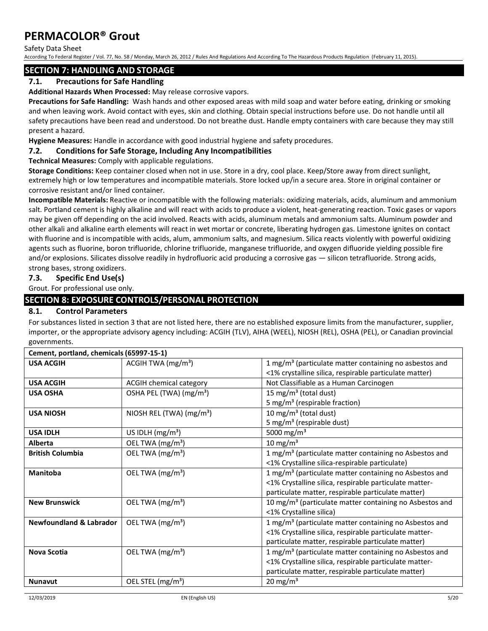Safety Data Sheet

According To Federal Register / Vol. 77, No. 58 / Monday, March 26, 2012 / Rules And Regulations And According To The Hazardous Products Regulation (February 11, 2015).

## **SECTION 7: HANDLING AND STORAGE**

## **7.1. Precautions for Safe Handling**

**Additional Hazards When Processed:** May release corrosive vapors.

**Precautions for Safe Handling:** Wash hands and other exposed areas with mild soap and water before eating, drinking or smoking and when leaving work. Avoid contact with eyes, skin and clothing. Obtain special instructions before use. Do not handle until all safety precautions have been read and understood. Do not breathe dust. Handle empty containers with care because they may still present a hazard.

**Hygiene Measures:** Handle in accordance with good industrial hygiene and safety procedures.

### **7.2. Conditions for Safe Storage, Including Any Incompatibilities**

**Technical Measures:** Comply with applicable regulations.

**Storage Conditions:** Keep container closed when not in use. Store in a dry, cool place. Keep/Store away from direct sunlight, extremely high or low temperatures and incompatible materials. Store locked up/in a secure area. Store in original container or corrosive resistant and/or lined container.

**Incompatible Materials:** Reactive or incompatible with the following materials: oxidizing materials, acids, aluminum and ammonium salt. Portland cement is highly alkaline and will react with acids to produce a violent, heat-generating reaction. Toxic gases or vapors may be given off depending on the acid involved. Reacts with acids, aluminum metals and ammonium salts. Aluminum powder and other alkali and alkaline earth elements will react in wet mortar or concrete, liberating hydrogen gas. Limestone ignites on contact with fluorine and is incompatible with acids, alum, ammonium salts, and magnesium. Silica reacts violently with powerful oxidizing agents such as fluorine, boron trifluoride, chlorine trifluoride, manganese trifluoride, and oxygen difluoride yielding possible fire and/or explosions. Silicates dissolve readily in hydrofluoric acid producing a corrosive gas — silicon tetrafluoride. Strong acids, strong bases, strong oxidizers.

## **7.3. Specific End Use(s)**

Grout. For professional use only.

## **SECTION 8: EXPOSURE CONTROLS/PERSONAL PROTECTION**

### **8.1. Control Parameters**

For substances listed in section 3 that are not listed here, there are no established exposure limits from the manufacturer, supplier, importer, or the appropriate advisory agency including: ACGIH (TLV), AIHA (WEEL), NIOSH (REL), OSHA (PEL), or Canadian provincial governments.

| Cement, portland, chemicals (65997-15-1) |                                     |                                                                     |  |  |
|------------------------------------------|-------------------------------------|---------------------------------------------------------------------|--|--|
| <b>USA ACGIH</b>                         | ACGIH TWA $(mg/m3)$                 | 1 mg/m <sup>3</sup> (particulate matter containing no asbestos and  |  |  |
|                                          |                                     | <1% crystalline silica, respirable particulate matter)              |  |  |
| <b>USA ACGIH</b>                         | <b>ACGIH chemical category</b>      | Not Classifiable as a Human Carcinogen                              |  |  |
| <b>USA OSHA</b>                          | OSHA PEL (TWA) (mg/m <sup>3</sup> ) | 15 mg/m <sup>3</sup> (total dust)                                   |  |  |
|                                          |                                     | 5 mg/m <sup>3</sup> (respirable fraction)                           |  |  |
| <b>USA NIOSH</b>                         | NIOSH REL (TWA) $(mg/m3)$           | 10 mg/m <sup>3</sup> (total dust)                                   |  |  |
|                                          |                                     | 5 mg/m <sup>3</sup> (respirable dust)                               |  |  |
| <b>USA IDLH</b>                          | US IDLH $(mg/m3)$                   | 5000 mg/m <sup>3</sup>                                              |  |  |
| Alberta                                  | OEL TWA (mg/m <sup>3</sup> )        | 10 mg/m $3$                                                         |  |  |
| <b>British Columbia</b>                  | OEL TWA (mg/m <sup>3</sup> )        | 1 mg/m <sup>3</sup> (particulate matter containing no Asbestos and  |  |  |
|                                          |                                     | <1% Crystalline silica-respirable particulate)                      |  |  |
| Manitoba                                 | OEL TWA (mg/m <sup>3</sup> )        | 1 mg/m <sup>3</sup> (particulate matter containing no Asbestos and  |  |  |
|                                          |                                     | <1% Crystalline silica, respirable particulate matter-              |  |  |
|                                          |                                     | particulate matter, respirable particulate matter)                  |  |  |
| <b>New Brunswick</b>                     | OEL TWA (mg/m <sup>3</sup> )        | 10 mg/m <sup>3</sup> (particulate matter containing no Asbestos and |  |  |
|                                          |                                     | <1% Crystalline silica)                                             |  |  |
| <b>Newfoundland &amp; Labrador</b>       | OEL TWA $(mg/m3)$                   | 1 mg/m <sup>3</sup> (particulate matter containing no Asbestos and  |  |  |
|                                          |                                     | <1% Crystalline silica, respirable particulate matter-              |  |  |
|                                          |                                     | particulate matter, respirable particulate matter)                  |  |  |
| <b>Nova Scotia</b>                       | OEL TWA (mg/m <sup>3</sup> )        | 1 mg/m <sup>3</sup> (particulate matter containing no Asbestos and  |  |  |
|                                          |                                     | <1% Crystalline silica, respirable particulate matter-              |  |  |
|                                          |                                     | particulate matter, respirable particulate matter)                  |  |  |
| <b>Nunavut</b>                           | OEL STEL (mg/m <sup>3</sup> )       | 20 mg/m <sup>3</sup>                                                |  |  |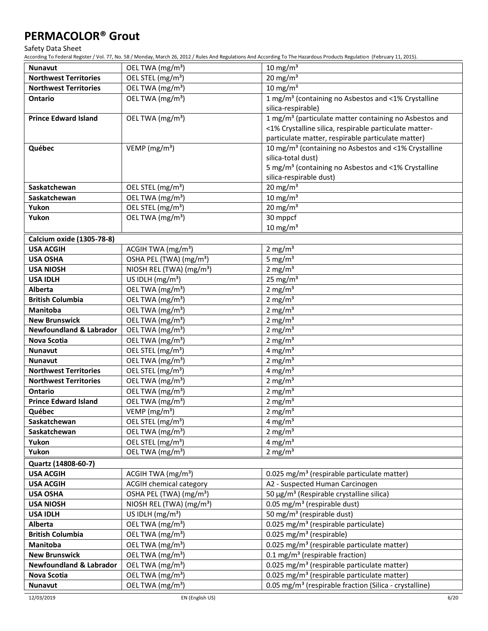Safety Data Sheet

According To Federal Register / Vol. 77, No. 58 / Monday, March 26, 2012 / Rules And Regulations And According To The Hazardous Products Regulation (February 11, 2015).

| <b>Nunavut</b>                     | OEL TWA (mg/m <sup>3</sup> )                                  | $10 \text{ mg/m}^3$                                                                        |
|------------------------------------|---------------------------------------------------------------|--------------------------------------------------------------------------------------------|
| <b>Northwest Territories</b>       | OEL STEL (mg/m <sup>3</sup> )                                 | 20 mg/m $3$                                                                                |
| <b>Northwest Territories</b>       | OEL TWA (mg/m <sup>3</sup> )                                  | $10$ mg/m <sup>3</sup>                                                                     |
| <b>Ontario</b>                     | OEL TWA (mg/m <sup>3</sup> )                                  | 1 mg/m <sup>3</sup> (containing no Asbestos and <1% Crystalline                            |
|                                    |                                                               | silica-respirable)                                                                         |
| <b>Prince Edward Island</b>        | OEL TWA (mg/m <sup>3</sup> )                                  | 1 mg/m <sup>3</sup> (particulate matter containing no Asbestos and                         |
|                                    |                                                               | <1% Crystalline silica, respirable particulate matter-                                     |
|                                    |                                                               | particulate matter, respirable particulate matter)                                         |
| Québec                             | VEMP ( $mg/m3$ )                                              | 10 mg/m <sup>3</sup> (containing no Asbestos and <1% Crystalline                           |
|                                    |                                                               | silica-total dust)                                                                         |
|                                    |                                                               | 5 mg/m <sup>3</sup> (containing no Asbestos and <1% Crystalline                            |
|                                    |                                                               | silica-respirable dust)                                                                    |
| Saskatchewan                       | OEL STEL (mg/m <sup>3</sup> )                                 | 20 mg/m $3$                                                                                |
| Saskatchewan                       | OEL TWA (mg/m <sup>3</sup> )                                  | $10 \text{ mg/m}^3$                                                                        |
| Yukon                              | OEL STEL (mg/m <sup>3</sup> )                                 | 20 mg/m $3$                                                                                |
| Yukon                              | OEL TWA (mg/m <sup>3</sup> )                                  | 30 mppcf                                                                                   |
|                                    |                                                               | $10 \text{ mg/m}^3$                                                                        |
| Calcium oxide (1305-78-8)          |                                                               |                                                                                            |
| <b>USA ACGIH</b>                   | ACGIH TWA $(mg/m3)$                                           | 2 mg/m <sup>3</sup>                                                                        |
| <b>USA OSHA</b>                    | OSHA PEL (TWA) (mg/m <sup>3</sup> )                           | 5 mg/ $m3$                                                                                 |
| <b>USA NIOSH</b>                   | NIOSH REL (TWA) (mg/m <sup>3</sup> )                          | 2 mg/m $3$                                                                                 |
| <b>USA IDLH</b>                    | US IDLH (mg/m <sup>3</sup> )                                  | 25 mg/m $3$                                                                                |
| Alberta                            | OEL TWA (mg/m <sup>3</sup> )                                  | 2 mg/m $3$                                                                                 |
| <b>British Columbia</b>            | OEL TWA (mg/m <sup>3</sup> )                                  | 2 mg/m $3$                                                                                 |
| Manitoba                           | OEL TWA (mg/m <sup>3</sup> )                                  | $2 \text{ mg/m}^3$                                                                         |
| <b>New Brunswick</b>               | OEL TWA (mg/m <sup>3</sup> )                                  | $2$ mg/m <sup>3</sup>                                                                      |
| <b>Newfoundland &amp; Labrador</b> | OEL TWA (mg/m <sup>3</sup> )                                  | $2 \text{ mg/m}^3$                                                                         |
| <b>Nova Scotia</b>                 | OEL TWA (mg/m <sup>3</sup> )                                  | $2 \text{ mg/m}^3$                                                                         |
| <b>Nunavut</b>                     | OEL STEL (mg/m <sup>3</sup> )                                 | 4 mg/m <sup>3</sup>                                                                        |
| <b>Nunavut</b>                     | OEL TWA (mg/m <sup>3</sup> )                                  | 2 mg/ $m3$                                                                                 |
| <b>Northwest Territories</b>       | OEL STEL (mg/m <sup>3</sup> )                                 | 4 mg/m $3$                                                                                 |
| <b>Northwest Territories</b>       | OEL TWA (mg/m <sup>3</sup> )                                  | 2 mg/m $3$                                                                                 |
| <b>Ontario</b>                     | OEL TWA (mg/m <sup>3</sup> )<br>OEL TWA (mg/m <sup>3</sup> )  | $2 \text{ mg/m}^3$                                                                         |
| <b>Prince Edward Island</b>        | VEMP ( $mg/m3$ )                                              | $2$ mg/m <sup>3</sup>                                                                      |
| Québec                             |                                                               | $2 \text{ mg/m}^3$                                                                         |
| Saskatchewan<br>Saskatchewan       | OEL STEL (mg/m <sup>3</sup> )<br>OEL TWA (mg/m <sup>3</sup> ) | 4 mg/m <sup>3</sup><br>2 mg/m <sup>3</sup>                                                 |
| Yukon                              | OEL STEL (mg/m <sup>3</sup> )                                 | 4 mg/m <sup>3</sup>                                                                        |
| Yukon                              | OEL TWA (mg/m <sup>3</sup> )                                  | 2 mg/m $3$                                                                                 |
| Quartz (14808-60-7)                |                                                               |                                                                                            |
| <b>USA ACGIH</b>                   | ACGIH TWA (mg/m <sup>3</sup> )                                |                                                                                            |
| <b>USA ACGIH</b>                   | <b>ACGIH chemical category</b>                                | 0.025 mg/m <sup>3</sup> (respirable particulate matter)<br>A2 - Suspected Human Carcinogen |
| <b>USA OSHA</b>                    | OSHA PEL (TWA) (mg/m <sup>3</sup> )                           | 50 μg/m <sup>3</sup> (Respirable crystalline silica)                                       |
| <b>USA NIOSH</b>                   | NIOSH REL (TWA) (mg/m <sup>3</sup> )                          | 0.05 mg/m <sup>3</sup> (respirable dust)                                                   |
| <b>USA IDLH</b>                    | US IDLH $(mg/m3)$                                             | 50 mg/m <sup>3</sup> (respirable dust)                                                     |
| Alberta                            | OEL TWA (mg/m <sup>3</sup> )                                  | 0.025 mg/m <sup>3</sup> (respirable particulate)                                           |
| <b>British Columbia</b>            | OEL TWA (mg/m <sup>3</sup> )                                  | 0.025 mg/m <sup>3</sup> (respirable)                                                       |
| Manitoba                           | OEL TWA (mg/m <sup>3</sup> )                                  | 0.025 mg/m <sup>3</sup> (respirable particulate matter)                                    |
| <b>New Brunswick</b>               | OEL TWA (mg/m <sup>3</sup> )                                  | 0.1 mg/m <sup>3</sup> (respirable fraction)                                                |
| <b>Newfoundland &amp; Labrador</b> | OEL TWA (mg/m <sup>3</sup> )                                  | 0.025 mg/m <sup>3</sup> (respirable particulate matter)                                    |
| Nova Scotia                        | OEL TWA (mg/m <sup>3</sup> )                                  | 0.025 mg/m <sup>3</sup> (respirable particulate matter)                                    |
| Nunavut                            | OEL TWA (mg/m <sup>3</sup> )                                  | 0.05 mg/m <sup>3</sup> (respirable fraction (Silica - crystalline)                         |
|                                    |                                                               |                                                                                            |

12/03/2019 EN (English US) 6/20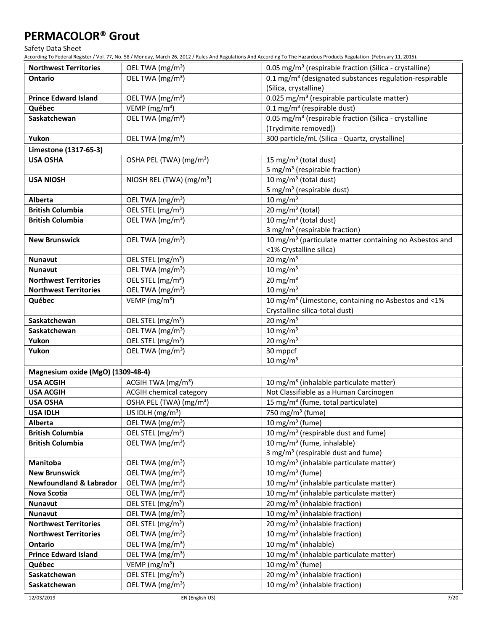Safety Data Sheet

According To Federal Register / Vol. 77, No. 58 / Monday, March 26, 2012 / Rules And Regulations And According To The Hazardous Products Regulation (February 11, 2015).

| <b>Northwest Territories</b>                   | OEL TWA (mg/m <sup>3</sup> )                                  | 0.05 mg/m <sup>3</sup> (respirable fraction (Silica - crystalline)                               |
|------------------------------------------------|---------------------------------------------------------------|--------------------------------------------------------------------------------------------------|
| <b>Ontario</b>                                 | OEL TWA (mg/m <sup>3</sup> )                                  | 0.1 mg/m <sup>3</sup> (designated substances regulation-respirable                               |
|                                                |                                                               | (Silica, crystalline)                                                                            |
| <b>Prince Edward Island</b>                    | OEL TWA (mg/m <sup>3</sup> )                                  | 0.025 mg/m <sup>3</sup> (respirable particulate matter)                                          |
| Québec                                         | VEMP (mg/m <sup>3</sup> )                                     | $0.1$ mg/m <sup>3</sup> (respirable dust)                                                        |
| Saskatchewan                                   | OEL TWA (mg/m <sup>3</sup> )                                  | 0.05 mg/m <sup>3</sup> (respirable fraction (Silica - crystalline                                |
|                                                |                                                               | (Trydimite removed))                                                                             |
| Yukon                                          | OEL TWA (mg/m <sup>3</sup> )                                  | 300 particle/mL (Silica - Quartz, crystalline)                                                   |
| Limestone (1317-65-3)                          |                                                               |                                                                                                  |
| <b>USA OSHA</b>                                | OSHA PEL (TWA) (mg/m <sup>3</sup> )                           | 15 mg/m <sup>3</sup> (total dust)                                                                |
|                                                |                                                               | 5 mg/m <sup>3</sup> (respirable fraction)                                                        |
| <b>USA NIOSH</b>                               | NIOSH REL (TWA) (mg/m <sup>3</sup> )                          | 10 mg/m <sup>3</sup> (total dust)                                                                |
|                                                |                                                               | 5 mg/m <sup>3</sup> (respirable dust)                                                            |
| Alberta                                        | OEL TWA (mg/m <sup>3</sup> )                                  | $10 \text{ mg/m}^3$                                                                              |
| <b>British Columbia</b>                        | OEL STEL (mg/m <sup>3</sup> )                                 | $\overline{20}$ mg/m <sup>3</sup> (total)                                                        |
| <b>British Columbia</b>                        | OEL TWA (mg/m <sup>3</sup> )                                  | 10 mg/m <sup>3</sup> (total dust)                                                                |
|                                                |                                                               | 3 mg/m <sup>3</sup> (respirable fraction)                                                        |
| <b>New Brunswick</b>                           | OEL TWA (mg/m <sup>3</sup> )                                  | 10 mg/m <sup>3</sup> (particulate matter containing no Asbestos and                              |
|                                                |                                                               | <1% Crystalline silica)                                                                          |
| <b>Nunavut</b>                                 | OEL STEL (mg/m <sup>3</sup> )                                 | 20 mg/m $3$                                                                                      |
| <b>Nunavut</b>                                 | OEL TWA (mg/m <sup>3</sup> )                                  | $10 \text{ mg/m}^3$                                                                              |
| <b>Northwest Territories</b>                   | OEL STEL (mg/m <sup>3</sup> )                                 | 20 mg/m $3$                                                                                      |
| <b>Northwest Territories</b>                   | OEL TWA (mg/m <sup>3</sup> )                                  | 10 mg/m $3$                                                                                      |
| Québec                                         | VEMP ( $mg/m3$ )                                              | 10 mg/m <sup>3</sup> (Limestone, containing no Asbestos and <1%                                  |
|                                                |                                                               | Crystalline silica-total dust)                                                                   |
| Saskatchewan                                   | OEL STEL (mg/m <sup>3</sup> )                                 | 20 mg/m $3$                                                                                      |
| Saskatchewan                                   | OEL TWA (mg/m <sup>3</sup> )                                  | $10 \text{ mg/m}^3$                                                                              |
| Yukon                                          | OEL STEL (mg/m <sup>3</sup> )                                 | 20 mg/m $3$                                                                                      |
| Yukon                                          | OEL TWA (mg/m <sup>3</sup> )                                  | 30 mppcf                                                                                         |
|                                                |                                                               | $10 \text{ mg/m}^3$                                                                              |
| Magnesium oxide (MgO) (1309-48-4)              |                                                               |                                                                                                  |
| <b>USA ACGIH</b>                               | ACGIH TWA (mg/m <sup>3</sup> )                                | 10 mg/m <sup>3</sup> (inhalable particulate matter)                                              |
| <b>USA ACGIH</b>                               | <b>ACGIH chemical category</b>                                | Not Classifiable as a Human Carcinogen                                                           |
| <b>USA OSHA</b>                                | OSHA PEL (TWA) (mg/m <sup>3</sup> )                           | 15 mg/m <sup>3</sup> (fume, total particulate)                                                   |
| <b>USA IDLH</b>                                | US IDLH (mg/m <sup>3</sup> )                                  | 750 mg/m <sup>3</sup> (fume)                                                                     |
| Alberta                                        | OEL TWA (mg/m <sup>3</sup> )                                  | 10 mg/m <sup>3</sup> (fume)                                                                      |
| <b>British Columbia</b>                        | OEL STEL (mg/m <sup>3</sup> )                                 | 10 mg/m <sup>3</sup> (respirable dust and fume)                                                  |
| <b>British Columbia</b>                        | OEL TWA (mg/m <sup>3</sup> )                                  | 10 mg/m <sup>3</sup> (fume, inhalable)                                                           |
|                                                |                                                               | 3 mg/m <sup>3</sup> (respirable dust and fume)                                                   |
| Manitoba                                       | OEL TWA (mg/m <sup>3</sup> )                                  | 10 mg/m <sup>3</sup> (inhalable particulate matter)                                              |
| <b>New Brunswick</b>                           | OEL TWA (mg/m <sup>3</sup> )<br>OEL TWA (mg/m <sup>3</sup> )  | 10 mg/m <sup>3</sup> (fume)<br>10 mg/m <sup>3</sup> (inhalable particulate matter)               |
| <b>Newfoundland &amp; Labrador</b>             |                                                               |                                                                                                  |
| Nova Scotia<br><b>Nunavut</b>                  | OEL TWA (mg/m <sup>3</sup> )                                  | 10 mg/m <sup>3</sup> (inhalable particulate matter)<br>20 mg/m <sup>3</sup> (inhalable fraction) |
|                                                | OEL STEL (mg/m <sup>3</sup> )                                 | 10 mg/m <sup>3</sup> (inhalable fraction)                                                        |
| <b>Nunavut</b><br><b>Northwest Territories</b> | OEL TWA (mg/m <sup>3</sup> )<br>OEL STEL (mg/m <sup>3</sup> ) | 20 mg/m <sup>3</sup> (inhalable fraction)                                                        |
| <b>Northwest Territories</b>                   | OEL TWA (mg/m <sup>3</sup> )                                  | 10 mg/m <sup>3</sup> (inhalable fraction)                                                        |
| Ontario                                        | OEL TWA (mg/m <sup>3</sup> )                                  | 10 mg/m <sup>3</sup> (inhalable)                                                                 |
| <b>Prince Edward Island</b>                    | OEL TWA (mg/m <sup>3</sup> )                                  | 10 mg/m <sup>3</sup> (inhalable particulate matter)                                              |
| Québec                                         | VEMP ( $mg/m3$ )                                              | 10 mg/m <sup>3</sup> (fume)                                                                      |
| Saskatchewan                                   | OEL STEL (mg/m <sup>3</sup> )                                 | 20 mg/m <sup>3</sup> (inhalable fraction)                                                        |
|                                                | OEL TWA (mg/m <sup>3</sup> )                                  | 10 mg/m <sup>3</sup> (inhalable fraction)                                                        |
| Saskatchewan                                   |                                                               |                                                                                                  |

12/03/2019 EN (English US) 7/20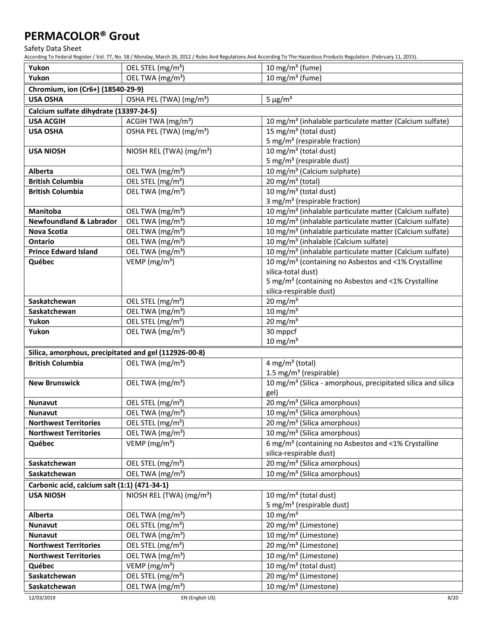Safety Data Sheet

According To Federal Register / Vol. 77, No. 58 / Monday, March 26, 2012 / Rules And Regulations And According To The Hazardous Products Regulation (February 11, 2015).

| Yukon                                                 | OEL STEL (mg/m <sup>3</sup> )        | 10 mg/m $3$ (fume)                                                       |
|-------------------------------------------------------|--------------------------------------|--------------------------------------------------------------------------|
| Yukon                                                 | OEL TWA (mg/m <sup>3</sup> )         | 10 mg/m $3$ (fume)                                                       |
| Chromium, ion (Cr6+) (18540-29-9)                     |                                      |                                                                          |
| <b>USA OSHA</b>                                       | OSHA PEL (TWA) (mg/m <sup>3</sup> )  | $5 \mu g/m^3$                                                            |
| Calcium sulfate dihydrate (13397-24-5)                |                                      |                                                                          |
| <b>USA ACGIH</b>                                      | ACGIH TWA (mg/m <sup>3</sup> )       | 10 mg/m <sup>3</sup> (inhalable particulate matter (Calcium sulfate)     |
| <b>USA OSHA</b>                                       | OSHA PEL (TWA) (mg/m <sup>3</sup> )  | 15 mg/m <sup>3</sup> (total dust)                                        |
|                                                       |                                      | 5 mg/m <sup>3</sup> (respirable fraction)                                |
| <b>USA NIOSH</b>                                      | NIOSH REL (TWA) (mg/m <sup>3</sup> ) | 10 mg/m <sup>3</sup> (total dust)                                        |
|                                                       |                                      | 5 mg/m <sup>3</sup> (respirable dust)                                    |
| Alberta                                               | OEL TWA (mg/m <sup>3</sup> )         | 10 mg/m <sup>3</sup> (Calcium sulphate)                                  |
| <b>British Columbia</b>                               | OEL STEL (mg/m <sup>3</sup> )        | 20 mg/m <sup>3</sup> (total)                                             |
| <b>British Columbia</b>                               | OEL TWA (mg/m <sup>3</sup> )         | $10 \,\mathrm{mg/m^3}$ (total dust)                                      |
|                                                       |                                      | 3 mg/m <sup>3</sup> (respirable fraction)                                |
| Manitoba                                              | OEL TWA (mg/m <sup>3</sup> )         | 10 mg/m <sup>3</sup> (inhalable particulate matter (Calcium sulfate)     |
| <b>Newfoundland &amp; Labrador</b>                    | OEL TWA (mg/m <sup>3</sup> )         | 10 mg/m <sup>3</sup> (inhalable particulate matter (Calcium sulfate)     |
| Nova Scotia                                           | OEL TWA (mg/m <sup>3</sup> )         | 10 mg/m <sup>3</sup> (inhalable particulate matter (Calcium sulfate)     |
| Ontario                                               | OEL TWA (mg/m <sup>3</sup> )         | 10 mg/m <sup>3</sup> (inhalable (Calcium sulfate)                        |
| <b>Prince Edward Island</b>                           | OEL TWA (mg/m <sup>3</sup> )         | 10 mg/m <sup>3</sup> (inhalable particulate matter (Calcium sulfate)     |
| Québec                                                | VEMP ( $mg/m3$ )                     | 10 mg/m <sup>3</sup> (containing no Asbestos and <1% Crystalline         |
|                                                       |                                      | silica-total dust)                                                       |
|                                                       |                                      | 5 mg/m <sup>3</sup> (containing no Asbestos and <1% Crystalline          |
|                                                       |                                      | silica-respirable dust)                                                  |
| Saskatchewan                                          | OEL STEL (mg/m <sup>3</sup> )        | 20 mg/m $3$                                                              |
| Saskatchewan                                          | OEL TWA (mg/m <sup>3</sup> )         | 10 mg/m $3$                                                              |
| Yukon                                                 | OEL STEL (mg/m <sup>3</sup> )        | 20 mg/m $3$                                                              |
| Yukon                                                 | OEL TWA (mg/m <sup>3</sup> )         | 30 mppcf                                                                 |
|                                                       |                                      | $10 \text{ mg/m}^3$                                                      |
| Silica, amorphous, precipitated and gel (112926-00-8) |                                      |                                                                          |
| <b>British Columbia</b>                               | OEL TWA (mg/m <sup>3</sup> )         | 4 mg/m <sup>3</sup> (total)                                              |
|                                                       |                                      | 1.5 mg/m <sup>3</sup> (respirable)                                       |
| <b>New Brunswick</b>                                  | OEL TWA (mg/m <sup>3</sup> )         | 10 mg/m <sup>3</sup> (Silica - amorphous, precipitated silica and silica |
| <b>Nunavut</b>                                        | OEL STEL (mg/m <sup>3</sup> )        | gel)<br>20 mg/m <sup>3</sup> (Silica amorphous)                          |
| <b>Nunavut</b>                                        | OEL TWA (mg/m <sup>3</sup> )         | 10 mg/m <sup>3</sup> (Silica amorphous)                                  |
| <b>Northwest Territories</b>                          | OEL STEL (mg/m <sup>3</sup> )        | 20 mg/m <sup>3</sup> (Silica amorphous)                                  |
| <b>Northwest Territories</b>                          | OEL TWA (mg/m <sup>3</sup> )         | 10 mg/m <sup>3</sup> (Silica amorphous)                                  |
| Québec                                                | VEMP ( $mg/m3$ )                     | 6 mg/m <sup>3</sup> (containing no Asbestos and <1% Crystalline          |
|                                                       |                                      | silica-respirable dust)                                                  |
| Saskatchewan                                          | OEL STEL (mg/m <sup>3</sup> )        | 20 mg/m <sup>3</sup> (Silica amorphous)                                  |
| Saskatchewan                                          | OEL TWA (mg/m <sup>3</sup> )         | 10 mg/m <sup>3</sup> (Silica amorphous)                                  |
| Carbonic acid, calcium salt (1:1) (471-34-1)          |                                      |                                                                          |
| <b>USA NIOSH</b>                                      | NIOSH REL (TWA) (mg/m <sup>3</sup> ) | 10 mg/m $3$ (total dust)                                                 |
|                                                       |                                      | 5 mg/m <sup>3</sup> (respirable dust)                                    |
| Alberta                                               | OEL TWA (mg/m <sup>3</sup> )         | 10 mg/m $3$                                                              |
| Nunavut                                               | OEL STEL (mg/m <sup>3</sup> )        | 20 mg/m <sup>3</sup> (Limestone)                                         |
| <b>Nunavut</b>                                        | OEL TWA (mg/m <sup>3</sup> )         | 10 mg/m <sup>3</sup> (Limestone)                                         |
| <b>Northwest Territories</b>                          | OEL STEL (mg/m <sup>3</sup> )        | 20 mg/m <sup>3</sup> (Limestone)                                         |
| <b>Northwest Territories</b>                          | OEL TWA (mg/m <sup>3</sup> )         | 10 mg/m <sup>3</sup> (Limestone)                                         |
| Québec                                                | VEMP ( $mg/m3$ )                     | 10 mg/m <sup>3</sup> (total dust)                                        |
| Saskatchewan                                          | OEL STEL (mg/m <sup>3</sup> )        | 20 mg/m <sup>3</sup> (Limestone)                                         |
| Saskatchewan                                          | OEL TWA (mg/m <sup>3</sup> )         | 10 mg/m <sup>3</sup> (Limestone)                                         |
|                                                       |                                      |                                                                          |

12/03/2019 EN (English US) 8/20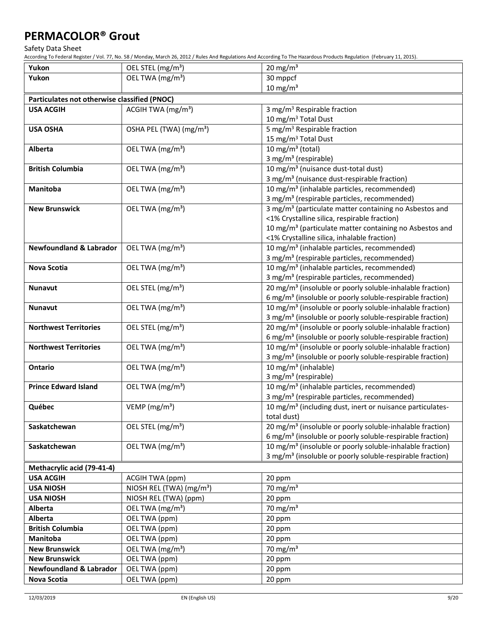Safety Data Sheet

| Yukon                                        | OEL STEL (mg/m <sup>3</sup> )        | 20 mg/m $3$                                                           |
|----------------------------------------------|--------------------------------------|-----------------------------------------------------------------------|
| Yukon                                        | OEL TWA (mg/m <sup>3</sup> )         | 30 mppcf                                                              |
|                                              |                                      | $10 \text{ mg/m}^3$                                                   |
| Particulates not otherwise classified (PNOC) |                                      |                                                                       |
| <b>USA ACGIH</b>                             | ACGIH TWA $(mg/m3)$                  | 3 mg/m <sup>3</sup> Respirable fraction                               |
|                                              |                                      | 10 mg/m <sup>3</sup> Total Dust                                       |
| <b>USA OSHA</b>                              | OSHA PEL (TWA) (mg/m <sup>3</sup> )  | 5 mg/m <sup>3</sup> Respirable fraction                               |
|                                              |                                      | 15 mg/m <sup>3</sup> Total Dust                                       |
| <b>Alberta</b>                               | OEL TWA (mg/m <sup>3</sup> )         | 10 mg/m $3$ (total)                                                   |
|                                              |                                      | 3 mg/m <sup>3</sup> (respirable)                                      |
| <b>British Columbia</b>                      | OEL TWA (mg/m <sup>3</sup> )         | 10 mg/m <sup>3</sup> (nuisance dust-total dust)                       |
|                                              |                                      | 3 mg/m <sup>3</sup> (nuisance dust-respirable fraction)               |
| Manitoba                                     | OEL TWA (mg/m <sup>3</sup> )         | 10 mg/m <sup>3</sup> (inhalable particles, recommended)               |
|                                              |                                      | 3 mg/m <sup>3</sup> (respirable particles, recommended)               |
| <b>New Brunswick</b>                         | OEL TWA (mg/m <sup>3</sup> )         | 3 mg/m <sup>3</sup> (particulate matter containing no Asbestos and    |
|                                              |                                      | <1% Crystalline silica, respirable fraction)                          |
|                                              |                                      | 10 mg/m <sup>3</sup> (particulate matter containing no Asbestos and   |
|                                              |                                      | <1% Crystalline silica, inhalable fraction)                           |
| <b>Newfoundland &amp; Labrador</b>           | OEL TWA (mg/m <sup>3</sup> )         | 10 mg/m <sup>3</sup> (inhalable particles, recommended)               |
|                                              |                                      | 3 mg/m <sup>3</sup> (respirable particles, recommended)               |
| Nova Scotia                                  | OEL TWA (mg/m <sup>3</sup> )         | 10 mg/m <sup>3</sup> (inhalable particles, recommended)               |
|                                              |                                      | 3 mg/m <sup>3</sup> (respirable particles, recommended)               |
| <b>Nunavut</b>                               | OEL STEL (mg/m <sup>3</sup> )        | 20 mg/m <sup>3</sup> (insoluble or poorly soluble-inhalable fraction) |
|                                              |                                      | 6 mg/m <sup>3</sup> (insoluble or poorly soluble-respirable fraction) |
| <b>Nunavut</b>                               | OEL TWA (mg/m <sup>3</sup> )         | 10 mg/m <sup>3</sup> (insoluble or poorly soluble-inhalable fraction) |
|                                              |                                      | 3 mg/m <sup>3</sup> (insoluble or poorly soluble-respirable fraction) |
| <b>Northwest Territories</b>                 | OEL STEL (mg/m <sup>3</sup> )        | 20 mg/m <sup>3</sup> (insoluble or poorly soluble-inhalable fraction) |
|                                              |                                      | 6 mg/m <sup>3</sup> (insoluble or poorly soluble-respirable fraction) |
| <b>Northwest Territories</b>                 | OEL TWA (mg/m <sup>3</sup> )         | 10 mg/m <sup>3</sup> (insoluble or poorly soluble-inhalable fraction) |
|                                              |                                      | 3 mg/m <sup>3</sup> (insoluble or poorly soluble-respirable fraction) |
| <b>Ontario</b>                               | OEL TWA (mg/m <sup>3</sup> )         | 10 mg/m $3$ (inhalable)<br>3 mg/m <sup>3</sup> (respirable)           |
| <b>Prince Edward Island</b>                  | OEL TWA (mg/m <sup>3</sup> )         | 10 mg/m <sup>3</sup> (inhalable particles, recommended)               |
|                                              |                                      | 3 mg/m <sup>3</sup> (respirable particles, recommended)               |
| Québec                                       | VEMP (mg/m <sup>3</sup> )            | 10 mg/m <sup>3</sup> (including dust, inert or nuisance particulates- |
|                                              |                                      | total dust)                                                           |
| Saskatchewan                                 | OEL STEL (mg/m <sup>3</sup> )        | 20 mg/m <sup>3</sup> (insoluble or poorly soluble-inhalable fraction) |
|                                              |                                      | 6 mg/m <sup>3</sup> (insoluble or poorly soluble-respirable fraction) |
| Saskatchewan                                 | OEL TWA (mg/m <sup>3</sup> )         | 10 mg/m <sup>3</sup> (insoluble or poorly soluble-inhalable fraction) |
|                                              |                                      | 3 mg/m <sup>3</sup> (insoluble or poorly soluble-respirable fraction) |
| Methacrylic acid (79-41-4)                   |                                      |                                                                       |
| <b>USA ACGIH</b>                             | ACGIH TWA (ppm)                      | 20 ppm                                                                |
| <b>USA NIOSH</b>                             | NIOSH REL (TWA) (mg/m <sup>3</sup> ) | 70 mg/m $3$                                                           |
| <b>USA NIOSH</b>                             | NIOSH REL (TWA) (ppm)                | 20 ppm                                                                |
| <b>Alberta</b>                               | OEL TWA (mg/m <sup>3</sup> )         | 70 mg/m $3$                                                           |
| <b>Alberta</b>                               | OEL TWA (ppm)                        | 20 ppm                                                                |
| <b>British Columbia</b>                      | OEL TWA (ppm)                        | 20 ppm                                                                |
| <b>Manitoba</b>                              | OEL TWA (ppm)                        | 20 ppm                                                                |
| <b>New Brunswick</b>                         | OEL TWA (mg/m <sup>3</sup> )         | 70 mg/m $3$                                                           |
| <b>New Brunswick</b>                         | OEL TWA (ppm)                        | 20 ppm                                                                |
| <b>Newfoundland &amp; Labrador</b>           | OEL TWA (ppm)                        | 20 ppm                                                                |
| Nova Scotia                                  | OEL TWA (ppm)                        | 20 ppm                                                                |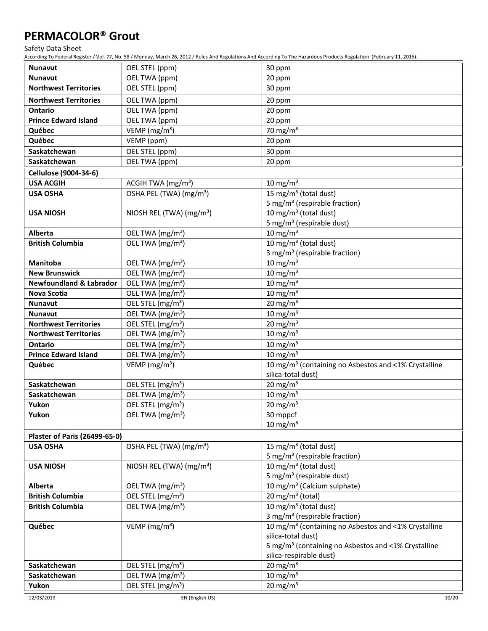Safety Data Sheet

| <b>Nunavut</b>                                          | OEL STEL (ppm)                       | 30 ppm                                                           |
|---------------------------------------------------------|--------------------------------------|------------------------------------------------------------------|
| <b>Nunavut</b>                                          | OEL TWA (ppm)                        | 20 ppm                                                           |
| <b>Northwest Territories</b>                            | OEL STEL (ppm)                       | 30 ppm                                                           |
| <b>Northwest Territories</b>                            | OEL TWA (ppm)                        | 20 ppm                                                           |
| <b>Ontario</b>                                          | OEL TWA (ppm)                        | 20 ppm                                                           |
| <b>Prince Edward Island</b>                             | OEL TWA (ppm)                        | 20 ppm                                                           |
| Québec                                                  | VEMP ( $mg/m3$ )                     | 70 mg/m $3$                                                      |
| Québec                                                  | VEMP (ppm)                           | 20 ppm                                                           |
| Saskatchewan                                            | OEL STEL (ppm)                       | 30 ppm                                                           |
| Saskatchewan                                            | OEL TWA (ppm)                        | 20 ppm                                                           |
| Cellulose (9004-34-6)                                   |                                      |                                                                  |
| <b>USA ACGIH</b>                                        | ACGIH TWA $(mg/m3)$                  | 10 mg/m $3$                                                      |
| <b>USA OSHA</b>                                         | OSHA PEL (TWA) (mg/m <sup>3</sup> )  | 15 mg/m <sup>3</sup> (total dust)                                |
|                                                         |                                      | 5 mg/m <sup>3</sup> (respirable fraction)                        |
| <b>USA NIOSH</b>                                        | NIOSH REL (TWA) (mg/m <sup>3</sup> ) | 10 mg/m <sup>3</sup> (total dust)                                |
|                                                         |                                      | 5 mg/m <sup>3</sup> (respirable dust)                            |
| Alberta                                                 | OEL TWA (mg/m <sup>3</sup> )         | $10 \text{ mg/m}^3$                                              |
| <b>British Columbia</b>                                 | OEL TWA (mg/m <sup>3</sup> )         | 10 mg/m <sup>3</sup> (total dust)                                |
|                                                         |                                      | 3 mg/m <sup>3</sup> (respirable fraction)                        |
| Manitoba                                                | OEL TWA (mg/m <sup>3</sup> )         | $10 \text{ mg/m}^3$                                              |
| <b>New Brunswick</b>                                    | OEL TWA (mg/m <sup>3</sup> )         | $10$ mg/m <sup>3</sup>                                           |
| <b>Newfoundland &amp; Labrador</b>                      | OEL TWA (mg/m <sup>3</sup> )         | $10 \text{ mg/m}^3$                                              |
| Nova Scotia                                             | OEL TWA (mg/m <sup>3</sup> )         | $10 \text{ mg/m}^3$                                              |
| <b>Nunavut</b>                                          | OEL STEL (mg/m <sup>3</sup> )        | 20 mg/m $3$                                                      |
| <b>Nunavut</b>                                          | OEL TWA (mg/m <sup>3</sup> )         | $10 \text{ mg/m}^3$                                              |
| <b>Northwest Territories</b>                            | OEL STEL (mg/m <sup>3</sup> )        | 20 mg/m $3$                                                      |
| <b>Northwest Territories</b>                            | OEL TWA (mg/m <sup>3</sup> )         | 10 mg/m $3$                                                      |
| <b>Ontario</b>                                          | OEL TWA (mg/m <sup>3</sup> )         | 10 mg/m $3$                                                      |
| <b>Prince Edward Island</b>                             | OEL TWA (mg/m <sup>3</sup> )         | 10 mg/m $3$                                                      |
| Québec                                                  | VEMP ( $mg/m3$ )                     | 10 mg/m <sup>3</sup> (containing no Asbestos and <1% Crystalline |
|                                                         |                                      | silica-total dust)                                               |
| Saskatchewan                                            | OEL STEL (mg/m <sup>3</sup> )        | 20 mg/m $3$                                                      |
| Saskatchewan                                            | OEL TWA (mg/m <sup>3</sup> )         | $10 \text{ mg/m}^3$                                              |
| Yukon                                                   | OEL STEL (mg/m <sup>3</sup> )        | 20 mg/m $3$                                                      |
| Yukon                                                   | OEL TWA (mg/m <sup>3</sup> )         | 30 mppcf                                                         |
|                                                         |                                      | $10 \text{ mg/m}^3$                                              |
| <b>Plaster of Paris (26499-65-0)</b><br><b>USA OSHA</b> |                                      | 15 mg/m <sup>3</sup> (total dust)                                |
|                                                         | OSHA PEL (TWA) (mg/m <sup>3</sup> )  | 5 mg/m <sup>3</sup> (respirable fraction)                        |
| <b>USA NIOSH</b>                                        | NIOSH REL (TWA) (mg/m <sup>3</sup> ) | 10 mg/m <sup>3</sup> (total dust)                                |
|                                                         |                                      | 5 mg/m <sup>3</sup> (respirable dust)                            |
| Alberta                                                 | OEL TWA (mg/m <sup>3</sup> )         | 10 mg/m <sup>3</sup> (Calcium sulphate)                          |
| <b>British Columbia</b>                                 | OEL STEL (mg/m <sup>3</sup> )        | 20 mg/m $3$ (total)                                              |
| <b>British Columbia</b>                                 | OEL TWA (mg/m <sup>3</sup> )         | 10 mg/m <sup>3</sup> (total dust)                                |
|                                                         |                                      | 3 mg/m <sup>3</sup> (respirable fraction)                        |
| Québec                                                  | VEMP ( $mg/m3$ )                     | 10 mg/m <sup>3</sup> (containing no Asbestos and <1% Crystalline |
|                                                         |                                      | silica-total dust)                                               |
|                                                         |                                      | 5 mg/m <sup>3</sup> (containing no Asbestos and <1% Crystalline  |
|                                                         |                                      | silica-respirable dust)                                          |
| Saskatchewan                                            | OEL STEL (mg/m <sup>3</sup> )        | 20 mg/m $3$                                                      |
| Saskatchewan                                            | OEL TWA (mg/m <sup>3</sup> )         | 10 mg/m $3$                                                      |
| Yukon                                                   | OEL STEL (mg/m <sup>3</sup> )        | 20 mg/m $3$                                                      |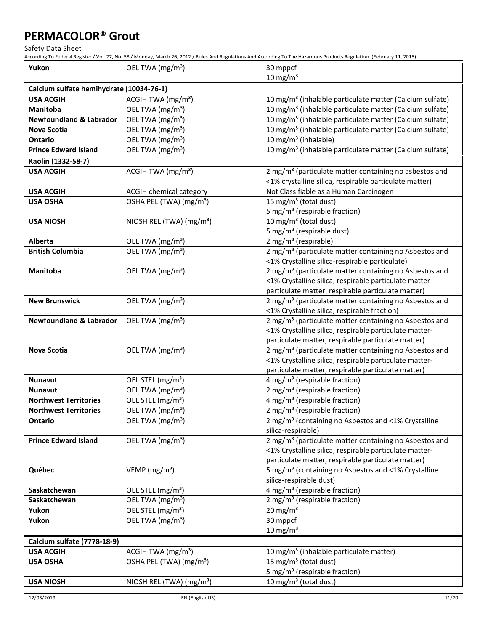Safety Data Sheet

| Yukon                                    | OEL TWA (mg/m <sup>3</sup> )         | 30 mppcf                                                                                                           |
|------------------------------------------|--------------------------------------|--------------------------------------------------------------------------------------------------------------------|
|                                          |                                      | $10 \text{ mg/m}^3$                                                                                                |
| Calcium sulfate hemihydrate (10034-76-1) |                                      |                                                                                                                    |
| <b>USA ACGIH</b>                         | ACGIH TWA (mg/m <sup>3</sup> )       | 10 mg/m <sup>3</sup> (inhalable particulate matter (Calcium sulfate)                                               |
| Manitoba                                 | OEL TWA (mg/m <sup>3</sup> )         | 10 mg/m <sup>3</sup> (inhalable particulate matter (Calcium sulfate)                                               |
| <b>Newfoundland &amp; Labrador</b>       | OEL TWA (mg/m <sup>3</sup> )         | 10 mg/m <sup>3</sup> (inhalable particulate matter (Calcium sulfate)                                               |
| Nova Scotia                              | OEL TWA (mg/m <sup>3</sup> )         | 10 mg/m <sup>3</sup> (inhalable particulate matter (Calcium sulfate)                                               |
| <b>Ontario</b>                           | OEL TWA (mg/m <sup>3</sup> )         | 10 mg/m $3$ (inhalable)                                                                                            |
| <b>Prince Edward Island</b>              | OEL TWA (mg/m <sup>3</sup> )         | 10 mg/m <sup>3</sup> (inhalable particulate matter (Calcium sulfate)                                               |
| Kaolin (1332-58-7)                       |                                      |                                                                                                                    |
| <b>USA ACGIH</b>                         | ACGIH TWA (mg/m <sup>3</sup> )       | 2 mg/m <sup>3</sup> (particulate matter containing no asbestos and                                                 |
|                                          |                                      | <1% crystalline silica, respirable particulate matter)                                                             |
| <b>USA ACGIH</b>                         | <b>ACGIH chemical category</b>       | Not Classifiable as a Human Carcinogen                                                                             |
| <b>USA OSHA</b>                          | OSHA PEL (TWA) (mg/m <sup>3</sup> )  | $15 \text{ mg/m}^3$ (total dust)                                                                                   |
|                                          |                                      | 5 mg/m <sup>3</sup> (respirable fraction)                                                                          |
| <b>USA NIOSH</b>                         | NIOSH REL (TWA) (mg/m <sup>3</sup> ) | 10 mg/m <sup>3</sup> (total dust)                                                                                  |
|                                          |                                      | 5 mg/m <sup>3</sup> (respirable dust)                                                                              |
| Alberta                                  | OEL TWA (mg/m <sup>3</sup> )         | 2 mg/m <sup>3</sup> (respirable)                                                                                   |
| <b>British Columbia</b>                  | OEL TWA (mg/m <sup>3</sup> )         | 2 mg/m <sup>3</sup> (particulate matter containing no Asbestos and                                                 |
|                                          |                                      | <1% Crystalline silica-respirable particulate)                                                                     |
| Manitoba                                 | OEL TWA (mg/m <sup>3</sup> )         | 2 mg/m <sup>3</sup> (particulate matter containing no Asbestos and                                                 |
|                                          |                                      | <1% Crystalline silica, respirable particulate matter-                                                             |
|                                          |                                      | particulate matter, respirable particulate matter)                                                                 |
| <b>New Brunswick</b>                     | OEL TWA (mg/m <sup>3</sup> )         | 2 mg/m <sup>3</sup> (particulate matter containing no Asbestos and                                                 |
| <b>Newfoundland &amp; Labrador</b>       | OEL TWA (mg/m <sup>3</sup> )         | <1% Crystalline silica, respirable fraction)<br>2 mg/m <sup>3</sup> (particulate matter containing no Asbestos and |
|                                          |                                      | <1% Crystalline silica, respirable particulate matter-                                                             |
|                                          |                                      | particulate matter, respirable particulate matter)                                                                 |
| Nova Scotia                              | OEL TWA (mg/m <sup>3</sup> )         | 2 mg/m <sup>3</sup> (particulate matter containing no Asbestos and                                                 |
|                                          |                                      | <1% Crystalline silica, respirable particulate matter-                                                             |
|                                          |                                      | particulate matter, respirable particulate matter)                                                                 |
| Nunavut                                  | OEL STEL (mg/m <sup>3</sup> )        | 4 mg/m <sup>3</sup> (respirable fraction)                                                                          |
| <b>Nunavut</b>                           | OEL TWA (mg/m <sup>3</sup> )         | 2 mg/m <sup>3</sup> (respirable fraction)                                                                          |
| <b>Northwest Territories</b>             | OEL STEL (mg/m <sup>3</sup> )        | 4 mg/m <sup>3</sup> (respirable fraction)                                                                          |
| <b>Northwest Territories</b>             | OEL TWA (mg/m <sup>3</sup> )         | 2 mg/m <sup>3</sup> (respirable fraction)                                                                          |
| <b>Ontario</b>                           | OEL TWA (mg/m <sup>3</sup> )         | 2 mg/m <sup>3</sup> (containing no Asbestos and <1% Crystalline                                                    |
|                                          |                                      | silica-respirable)                                                                                                 |
| <b>Prince Edward Island</b>              | OEL TWA (mg/m <sup>3</sup> )         | 2 mg/m <sup>3</sup> (particulate matter containing no Asbestos and                                                 |
|                                          |                                      | <1% Crystalline silica, respirable particulate matter-                                                             |
|                                          |                                      | particulate matter, respirable particulate matter)                                                                 |
| Québec                                   | VEMP ( $mg/m3$ )                     | 5 mg/m <sup>3</sup> (containing no Asbestos and <1% Crystalline                                                    |
|                                          |                                      | silica-respirable dust)                                                                                            |
| Saskatchewan                             | OEL STEL (mg/m <sup>3</sup> )        | 4 mg/m <sup>3</sup> (respirable fraction)                                                                          |
| Saskatchewan                             | OEL TWA (mg/m <sup>3</sup> )         | 2 mg/m <sup>3</sup> (respirable fraction)                                                                          |
| Yukon                                    | OEL STEL (mg/m <sup>3</sup> )        | 20 mg/m $3$                                                                                                        |
| Yukon                                    | OEL TWA (mg/m <sup>3</sup> )         | 30 mppcf                                                                                                           |
|                                          |                                      | $10 \text{ mg/m}^3$                                                                                                |
| Calcium sulfate (7778-18-9)              |                                      |                                                                                                                    |
| <b>USA ACGIH</b>                         | ACGIH TWA $(mg/m3)$                  | 10 mg/m <sup>3</sup> (inhalable particulate matter)                                                                |
| <b>USA OSHA</b>                          | OSHA PEL (TWA) (mg/m <sup>3</sup> )  | 15 mg/m <sup>3</sup> (total dust)                                                                                  |
|                                          |                                      | 5 mg/m <sup>3</sup> (respirable fraction)                                                                          |
| <b>USA NIOSH</b>                         | NIOSH REL (TWA) (mg/m <sup>3</sup> ) | 10 mg/m $3$ (total dust)                                                                                           |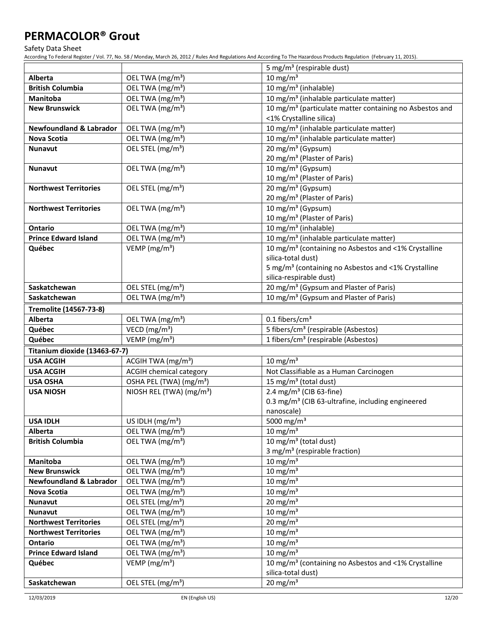Safety Data Sheet

|                                    |                                      | 5 mg/m <sup>3</sup> (respirable dust)                                                                |
|------------------------------------|--------------------------------------|------------------------------------------------------------------------------------------------------|
| Alberta                            | OEL TWA (mg/m <sup>3</sup> )         | 10 mg/m $3$                                                                                          |
| <b>British Columbia</b>            | OEL TWA (mg/m <sup>3</sup> )         | $\overline{10}$ mg/m <sup>3</sup> (inhalable)                                                        |
| <b>Manitoba</b>                    | OEL TWA (mg/m <sup>3</sup> )         | 10 mg/m <sup>3</sup> (inhalable particulate matter)                                                  |
| <b>New Brunswick</b>               | OEL TWA (mg/m <sup>3</sup> )         | 10 mg/m <sup>3</sup> (particulate matter containing no Asbestos and                                  |
|                                    |                                      | <1% Crystalline silica)                                                                              |
| <b>Newfoundland &amp; Labrador</b> | OEL TWA (mg/m <sup>3</sup> )         | 10 mg/m <sup>3</sup> (inhalable particulate matter)                                                  |
| Nova Scotia                        | OEL TWA (mg/m <sup>3</sup> )         | 10 mg/m <sup>3</sup> (inhalable particulate matter)                                                  |
| <b>Nunavut</b>                     | OEL STEL (mg/m <sup>3</sup> )        | 20 mg/m <sup>3</sup> (Gypsum)                                                                        |
|                                    |                                      | 20 mg/m <sup>3</sup> (Plaster of Paris)                                                              |
| <b>Nunavut</b>                     | OEL TWA (mg/m <sup>3</sup> )         | $\overline{10 \text{ mg/m}^3}$ (Gypsum)                                                              |
|                                    |                                      | 10 mg/m <sup>3</sup> (Plaster of Paris)                                                              |
| <b>Northwest Territories</b>       | OEL STEL (mg/m <sup>3</sup> )        | 20 mg/m <sup>3</sup> (Gypsum)                                                                        |
|                                    |                                      | 20 mg/m <sup>3</sup> (Plaster of Paris)                                                              |
| <b>Northwest Territories</b>       | OEL TWA (mg/m <sup>3</sup> )         | 10 mg/m <sup>3</sup> (Gypsum)                                                                        |
|                                    |                                      | 10 mg/m <sup>3</sup> (Plaster of Paris)                                                              |
| Ontario                            | OEL TWA (mg/m <sup>3</sup> )         | 10 mg/m <sup>3</sup> (inhalable)                                                                     |
| <b>Prince Edward Island</b>        | OEL TWA (mg/m <sup>3</sup> )         | 10 mg/m <sup>3</sup> (inhalable particulate matter)                                                  |
| Québec                             | VEMP ( $mg/m3$ )                     | 10 mg/m <sup>3</sup> (containing no Asbestos and <1% Crystalline                                     |
|                                    |                                      | silica-total dust)                                                                                   |
|                                    |                                      | 5 mg/m <sup>3</sup> (containing no Asbestos and <1% Crystalline                                      |
|                                    |                                      | silica-respirable dust)                                                                              |
| Saskatchewan                       | OEL STEL (mg/m <sup>3</sup> )        | 20 mg/m <sup>3</sup> (Gypsum and Plaster of Paris)                                                   |
| Saskatchewan                       | OEL TWA (mg/m <sup>3</sup> )         | 10 mg/m <sup>3</sup> (Gypsum and Plaster of Paris)                                                   |
| Tremolite (14567-73-8)             |                                      |                                                                                                      |
| Alberta                            | OEL TWA (mg/m <sup>3</sup> )         | $0.1$ fibers/cm <sup>3</sup>                                                                         |
| Québec                             | VECD ( $mg/m3$ )                     | 5 fibers/cm <sup>3</sup> (respirable (Asbestos)                                                      |
| Québec                             | VEMP (mg/m <sup>3</sup> )            | 1 fibers/cm <sup>3</sup> (respirable (Asbestos)                                                      |
| Titanium dioxide (13463-67-7)      |                                      |                                                                                                      |
| <b>USA ACGIH</b>                   | ACGIH TWA (mg/m <sup>3</sup> )       | 10 mg/m $3$                                                                                          |
| <b>USA ACGIH</b>                   | <b>ACGIH chemical category</b>       | Not Classifiable as a Human Carcinogen                                                               |
| <b>USA OSHA</b>                    | OSHA PEL (TWA) (mg/m <sup>3</sup> )  | 15 mg/m <sup>3</sup> (total dust)                                                                    |
| <b>USA NIOSH</b>                   | NIOSH REL (TWA) (mg/m <sup>3</sup> ) | 2.4 mg/m <sup>3</sup> (CIB 63-fine)<br>0.3 mg/m <sup>3</sup> (CIB 63-ultrafine, including engineered |
|                                    |                                      | nanoscale)                                                                                           |
| <b>USA IDLH</b>                    | US IDLH $(mg/m^3)$                   | 5000 mg/m <sup>3</sup>                                                                               |
| Alberta                            | OEL TWA (mg/m <sup>3</sup> )         | 10 mg/m $3$                                                                                          |
| <b>British Columbia</b>            | OEL TWA (mg/m <sup>3</sup> )         | 10 mg/m <sup>3</sup> (total dust)                                                                    |
|                                    |                                      | 3 mg/m <sup>3</sup> (respirable fraction)                                                            |
| Manitoba                           | OEL TWA (mg/m <sup>3</sup> )         | 10 mg/m $3$                                                                                          |
| <b>New Brunswick</b>               | OEL TWA (mg/m <sup>3</sup> )         | 10 mg/m $3$                                                                                          |
| <b>Newfoundland &amp; Labrador</b> | OEL TWA (mg/m <sup>3</sup> )         | 10 mg/m $3$                                                                                          |
| Nova Scotia                        | OEL TWA (mg/m <sup>3</sup> )         | 10 mg/m $3$                                                                                          |
| <b>Nunavut</b>                     | OEL STEL (mg/m <sup>3</sup> )        | 20 mg/m $3$                                                                                          |
| Nunavut                            | OEL TWA (mg/m <sup>3</sup> )         | 10 mg/m $3$                                                                                          |
| <b>Northwest Territories</b>       | OEL STEL (mg/m <sup>3</sup> )        | 20 mg/m $3$                                                                                          |
| <b>Northwest Territories</b>       | OEL TWA (mg/m <sup>3</sup> )         | 10 mg/m $3$                                                                                          |
| Ontario                            | OEL TWA (mg/m <sup>3</sup> )         | 10 mg/m $3$                                                                                          |
| <b>Prince Edward Island</b>        | OEL TWA (mg/m <sup>3</sup> )         | 10 mg/m $3$                                                                                          |
| Québec                             | VEMP ( $mg/m3$ )                     | 10 mg/m <sup>3</sup> (containing no Asbestos and <1% Crystalline                                     |
|                                    |                                      | silica-total dust)                                                                                   |
| Saskatchewan                       | OEL STEL (mg/m <sup>3</sup> )        | 20 mg/m $3$                                                                                          |
|                                    |                                      |                                                                                                      |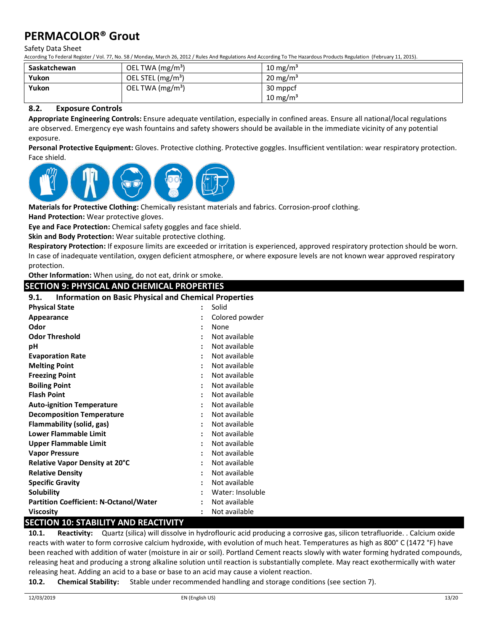#### Safety Data Sheet

According To Federal Register / Vol. 77, No. 58 / Monday, March 26, 2012 / Rules And Regulations And According To The Hazardous Products Regulation (February 11, 2015).

| Saskatchewan | OEL TWA $(mg/m3)$             | 10 mg/m <sup>3</sup> |
|--------------|-------------------------------|----------------------|
| Yukon        | OEL STEL (mg/m <sup>3</sup> ) | $20 \text{ mg/m}^3$  |
| Yukon        | OEL TWA $(mg/m3)$             | 30 mppcf             |
|              |                               | 10 mg/m $3$          |

### **8.2. Exposure Controls**

**Appropriate Engineering Controls:** Ensure adequate ventilation, especially in confined areas. Ensure all national/local regulations are observed. Emergency eye wash fountains and safety showers should be available in the immediate vicinity of any potential exposure.

**Personal Protective Equipment:** Gloves. Protective clothing. Protective goggles. Insufficient ventilation: wear respiratory protection. Face shield.



**Materials for Protective Clothing:** Chemically resistant materials and fabrics. Corrosion-proof clothing.

**Hand Protection:** Wear protective gloves.

**Eye and Face Protection:** Chemical safety goggles and face shield.

**Skin and Body Protection:** Wear suitable protective clothing.

**Respiratory Protection:** If exposure limits are exceeded or irritation is experienced, approved respiratory protection should be worn. In case of inadequate ventilation, oxygen deficient atmosphere, or where exposure levels are not known wear approved respiratory protection.

**Other Information:** When using, do not eat, drink or smoke.

**SECTION 9: PHYSICAL AND CHEMICAL PROPERTIES**

### **9.1. Information on Basic Physical and Chemical Properties**

| <b>Physical State</b>                         |                      | Solid            |
|-----------------------------------------------|----------------------|------------------|
| Appearance                                    |                      | Colored powder   |
| Odor                                          | $\ddot{\phantom{a}}$ | None             |
| <b>Odor Threshold</b>                         |                      | Not available    |
| рH                                            |                      | Not available    |
| <b>Evaporation Rate</b>                       |                      | Not available    |
| <b>Melting Point</b>                          |                      | Not available    |
| <b>Freezing Point</b>                         |                      | Not available    |
| <b>Boiling Point</b>                          | $\ddot{\cdot}$       | Not available    |
| <b>Flash Point</b>                            |                      | Not available    |
| <b>Auto-ignition Temperature</b>              |                      | Not available    |
| <b>Decomposition Temperature</b>              |                      | Not available    |
| Flammability (solid, gas)                     |                      | Not available    |
| Lower Flammable Limit                         |                      | Not available    |
| Upper Flammable Limit                         | $\ddot{\cdot}$       | Not available    |
| <b>Vapor Pressure</b>                         |                      | Not available    |
| <b>Relative Vapor Density at 20°C</b>         |                      | Not available    |
| <b>Relative Density</b>                       | ÷                    | Not available    |
| <b>Specific Gravity</b>                       |                      | Not available    |
| <b>Solubility</b>                             |                      | Water: Insoluble |
| <b>Partition Coefficient: N-Octanol/Water</b> |                      | Not available    |
| <b>Viscosity</b>                              |                      | Not available    |

## **SECTION 10: STABILITY AND REACTIVITY**

**10.1. Reactivity:** Quartz (silica) will dissolve in hydroflouric acid producing a corrosive gas, silicon tetrafluoride. . Calcium oxide reacts with water to form corrosive calcium hydroxide, with evolution of much heat. Temperatures as high as 800° C (1472 °F) have been reached with addition of water (moisture in air or soil). Portland Cement reacts slowly with water forming hydrated compounds, releasing heat and producing a strong alkaline solution until reaction is substantially complete. May react exothermically with water releasing heat. Adding an acid to a base or base to an acid may cause a violent reaction.

**10.2. Chemical Stability:** Stable under recommended handling and storage conditions (see section 7).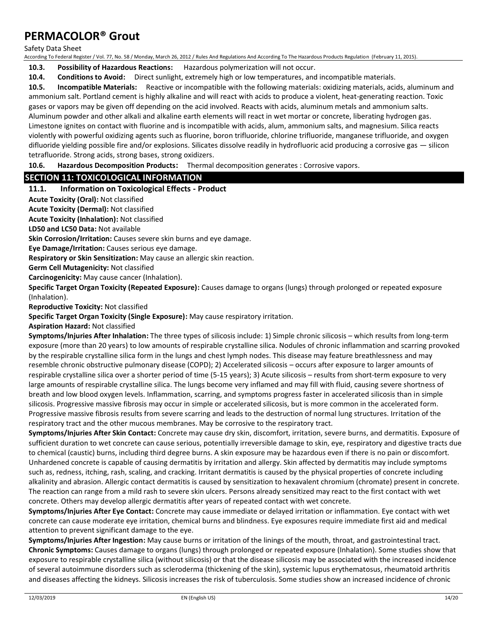Safety Data Sheet

According To Federal Register / Vol. 77, No. 58 / Monday, March 26, 2012 / Rules And Regulations And According To The Hazardous Products Regulation (February 11, 2015).

**10.3. Possibility of Hazardous Reactions:** Hazardous polymerization will not occur.

**10.4. Conditions to Avoid:** Direct sunlight, extremely high or low temperatures, and incompatible materials.

**10.5. Incompatible Materials:** Reactive or incompatible with the following materials: oxidizing materials, acids, aluminum and ammonium salt. Portland cement is highly alkaline and will react with acids to produce a violent, heat-generating reaction. Toxic gases or vapors may be given off depending on the acid involved. Reacts with acids, aluminum metals and ammonium salts. Aluminum powder and other alkali and alkaline earth elements will react in wet mortar or concrete, liberating hydrogen gas. Limestone ignites on contact with fluorine and is incompatible with acids, alum, ammonium salts, and magnesium. Silica reacts violently with powerful oxidizing agents such as fluorine, boron trifluoride, chlorine trifluoride, manganese trifluoride, and oxygen difluoride yielding possible fire and/or explosions. Silicates dissolve readily in hydrofluoric acid producing a corrosive gas — silicon tetrafluoride. Strong acids, strong bases, strong oxidizers.

**10.6. Hazardous Decomposition Products:** Thermal decomposition generates : Corrosive vapors.

### **SECTION 11: TOXICOLOGICAL INFORMATION**

#### **11.1. Information on Toxicological Effects - Product**

**Acute Toxicity (Oral):** Not classified

**Acute Toxicity (Dermal):** Not classified

**Acute Toxicity (Inhalation):** Not classified

**LD50 and LC50 Data:** Not available

**Skin Corrosion/Irritation:** Causes severe skin burns and eye damage.

**Eye Damage/Irritation:** Causes serious eye damage.

**Respiratory or Skin Sensitization:** May cause an allergic skin reaction.

**Germ Cell Mutagenicity:** Not classified

**Carcinogenicity:** May cause cancer (Inhalation).

**Specific Target Organ Toxicity (Repeated Exposure):** Causes damage to organs (lungs) through prolonged or repeated exposure (Inhalation).

**Reproductive Toxicity:** Not classified

**Specific Target Organ Toxicity (Single Exposure):** May cause respiratory irritation.

**Aspiration Hazard:** Not classified

**Symptoms/Injuries After Inhalation:** The three types of silicosis include: 1) Simple chronic silicosis – which results from long-term exposure (more than 20 years) to low amounts of respirable crystalline silica. Nodules of chronic inflammation and scarring provoked by the respirable crystalline silica form in the lungs and chest lymph nodes. This disease may feature breathlessness and may resemble chronic obstructive pulmonary disease (COPD); 2) Accelerated silicosis – occurs after exposure to larger amounts of respirable crystalline silica over a shorter period of time (5-15 years); 3) Acute silicosis – results from short-term exposure to very large amounts of respirable crystalline silica. The lungs become very inflamed and may fill with fluid, causing severe shortness of breath and low blood oxygen levels. Inflammation, scarring, and symptoms progress faster in accelerated silicosis than in simple silicosis. Progressive massive fibrosis may occur in simple or accelerated silicosis, but is more common in the accelerated form. Progressive massive fibrosis results from severe scarring and leads to the destruction of normal lung structures. Irritation of the respiratory tract and the other mucous membranes. May be corrosive to the respiratory tract.

**Symptoms/Injuries After Skin Contact:** Concrete may cause dry skin, discomfort, irritation, severe burns, and dermatitis. Exposure of sufficient duration to wet concrete can cause serious, potentially irreversible damage to skin, eye, respiratory and digestive tracts due to chemical (caustic) burns, including third degree burns. A skin exposure may be hazardous even if there is no pain or discomfort. Unhardened concrete is capable of causing dermatitis by irritation and allergy. Skin affected by dermatitis may include symptoms such as, redness, itching, rash, scaling, and cracking. Irritant dermatitis is caused by the physical properties of concrete including alkalinity and abrasion. Allergic contact dermatitis is caused by sensitization to hexavalent chromium (chromate) present in concrete. The reaction can range from a mild rash to severe skin ulcers. Persons already sensitized may react to the first contact with wet concrete. Others may develop allergic dermatitis after years of repeated contact with wet concrete.

**Symptoms/Injuries After Eye Contact:** Concrete may cause immediate or delayed irritation or inflammation. Eye contact with wet concrete can cause moderate eye irritation, chemical burns and blindness. Eye exposures require immediate first aid and medical attention to prevent significant damage to the eye.

**Symptoms/Injuries After Ingestion:** May cause burns or irritation of the linings of the mouth, throat, and gastrointestinal tract. **Chronic Symptoms:** Causes damage to organs (lungs) through prolonged or repeated exposure (Inhalation). Some studies show that exposure to respirable crystalline silica (without silicosis) or that the disease silicosis may be associated with the increased incidence of several autoimmune disorders such as scleroderma (thickening of the skin), systemic lupus erythematosus, rheumatoid arthritis and diseases affecting the kidneys. Silicosis increases the risk of tuberculosis. Some studies show an increased incidence of chronic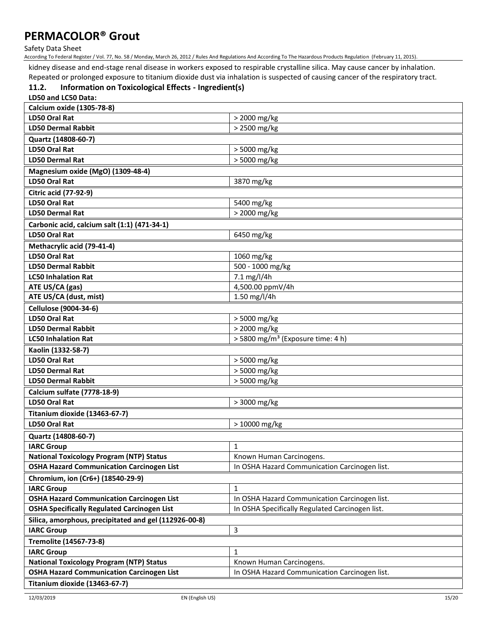Safety Data Sheet

According To Federal Register / Vol. 77, No. 58 / Monday, March 26, 2012 / Rules And Regulations And According To The Hazardous Products Regulation (February 11, 2015).

kidney disease and end-stage renal disease in workers exposed to respirable crystalline silica. May cause cancer by inhalation.

Repeated or prolonged exposure to titanium dioxide dust via inhalation is suspected of causing cancer of the respiratory tract.

#### **11.2. Information on Toxicological Effects - Ingredient(s) LD50 and LC50 Data:**

| <b>Calcium oxide (1305-78-8)</b>                                                  |                                                 |  |  |  |
|-----------------------------------------------------------------------------------|-------------------------------------------------|--|--|--|
| <b>LD50 Oral Rat</b>                                                              | > 2000 mg/kg                                    |  |  |  |
| <b>LD50 Dermal Rabbit</b>                                                         | > 2500 mg/kg                                    |  |  |  |
| Quartz (14808-60-7)                                                               |                                                 |  |  |  |
| <b>LD50 Oral Rat</b>                                                              | > 5000 mg/kg                                    |  |  |  |
| <b>LD50 Dermal Rat</b>                                                            | > 5000 mg/kg                                    |  |  |  |
| Magnesium oxide (MgO) (1309-48-4)                                                 |                                                 |  |  |  |
| <b>LD50 Oral Rat</b>                                                              | 3870 mg/kg                                      |  |  |  |
| <b>Citric acid (77-92-9)</b>                                                      |                                                 |  |  |  |
| <b>LD50 Oral Rat</b>                                                              | 5400 mg/kg                                      |  |  |  |
| <b>LD50 Dermal Rat</b>                                                            | > 2000 mg/kg                                    |  |  |  |
|                                                                                   |                                                 |  |  |  |
| Carbonic acid, calcium salt (1:1) (471-34-1)<br><b>LD50 Oral Rat</b>              |                                                 |  |  |  |
|                                                                                   | 6450 mg/kg                                      |  |  |  |
| Methacrylic acid (79-41-4)                                                        |                                                 |  |  |  |
| <b>LD50 Oral Rat</b>                                                              | 1060 mg/kg                                      |  |  |  |
| <b>LD50 Dermal Rabbit</b>                                                         | 500 - 1000 mg/kg                                |  |  |  |
| <b>LC50 Inhalation Rat</b>                                                        | 7.1 mg/l/4h                                     |  |  |  |
| ATE US/CA (gas)<br>ATE US/CA (dust, mist)                                         | 4,500.00 ppmV/4h<br>1.50 mg/l/4h                |  |  |  |
|                                                                                   |                                                 |  |  |  |
| <b>Cellulose (9004-34-6)</b>                                                      |                                                 |  |  |  |
| <b>LD50 Oral Rat</b>                                                              | > 5000 mg/kg                                    |  |  |  |
| <b>LD50 Dermal Rabbit</b><br><b>LC50 Inhalation Rat</b>                           | > 2000 mg/kg                                    |  |  |  |
|                                                                                   | > 5800 mg/m <sup>3</sup> (Exposure time: 4 h)   |  |  |  |
| Kaolin (1332-58-7)                                                                |                                                 |  |  |  |
| <b>LD50 Oral Rat</b>                                                              | > 5000 mg/kg                                    |  |  |  |
| <b>LD50 Dermal Rat</b><br><b>LD50 Dermal Rabbit</b>                               | > 5000 mg/kg                                    |  |  |  |
|                                                                                   | > 5000 mg/kg                                    |  |  |  |
| Calcium sulfate (7778-18-9)                                                       |                                                 |  |  |  |
| <b>LD50 Oral Rat</b>                                                              | > 3000 mg/kg                                    |  |  |  |
| Titanium dioxide (13463-67-7)                                                     |                                                 |  |  |  |
| <b>LD50 Oral Rat</b>                                                              | > 10000 mg/kg                                   |  |  |  |
| Quartz (14808-60-7)                                                               |                                                 |  |  |  |
| <b>IARC Group</b>                                                                 | 1                                               |  |  |  |
| <b>National Toxicology Program (NTP) Status</b>                                   | Known Human Carcinogens.                        |  |  |  |
| <b>OSHA Hazard Communication Carcinogen List</b>                                  | In OSHA Hazard Communication Carcinogen list.   |  |  |  |
| Chromium, ion (Cr6+) (18540-29-9)                                                 |                                                 |  |  |  |
| <b>IARC Group</b>                                                                 | $\mathbf{1}$                                    |  |  |  |
| <b>OSHA Hazard Communication Carcinogen List</b>                                  | In OSHA Hazard Communication Carcinogen list.   |  |  |  |
| <b>OSHA Specifically Regulated Carcinogen List</b>                                | In OSHA Specifically Regulated Carcinogen list. |  |  |  |
| Silica, amorphous, precipitated and gel (112926-00-8)                             |                                                 |  |  |  |
|                                                                                   |                                                 |  |  |  |
| <b>IARC Group</b>                                                                 | 3                                               |  |  |  |
| Tremolite (14567-73-8)                                                            |                                                 |  |  |  |
| <b>IARC Group</b>                                                                 | 1                                               |  |  |  |
| <b>National Toxicology Program (NTP) Status</b>                                   | Known Human Carcinogens.                        |  |  |  |
| <b>OSHA Hazard Communication Carcinogen List</b><br>Titanium dioxide (13463-67-7) | In OSHA Hazard Communication Carcinogen list.   |  |  |  |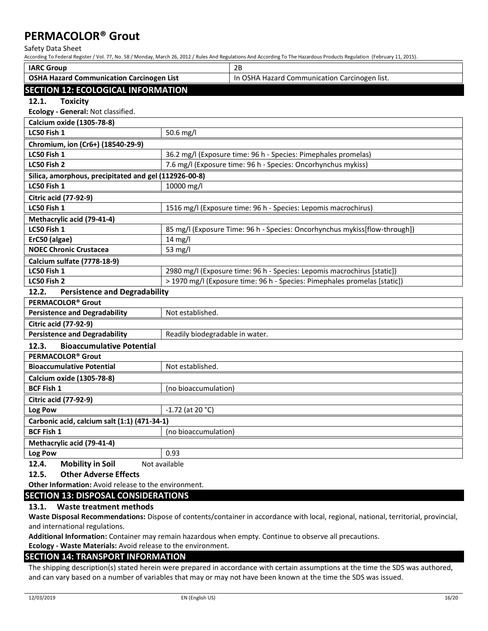Safety Data Sheet

According To Federal Register / Vol. 77, No. 58 / Monday, March 26, 2012 / Rules And Regulations And According To The Hazardous Products Regulation (February 11, 2015).

| <b>IARC Group</b>                                     |                                                                            | 2B                                                                      |  |
|-------------------------------------------------------|----------------------------------------------------------------------------|-------------------------------------------------------------------------|--|
| <b>OSHA Hazard Communication Carcinogen List</b>      |                                                                            | In OSHA Hazard Communication Carcinogen list.                           |  |
| <b>SECTION 12: ECOLOGICAL INFORMATION</b>             |                                                                            |                                                                         |  |
| 12.1.<br><b>Toxicity</b>                              |                                                                            |                                                                         |  |
| Ecology - General: Not classified.                    |                                                                            |                                                                         |  |
| <b>Calcium oxide (1305-78-8)</b>                      |                                                                            |                                                                         |  |
| LC50 Fish 1                                           | 50.6 mg/l                                                                  |                                                                         |  |
| Chromium, ion (Cr6+) (18540-29-9)                     |                                                                            |                                                                         |  |
| LC50 Fish 1                                           |                                                                            | 36.2 mg/l (Exposure time: 96 h - Species: Pimephales promelas)          |  |
| LC50 Fish 2                                           |                                                                            | 7.6 mg/l (Exposure time: 96 h - Species: Oncorhynchus mykiss)           |  |
| Silica, amorphous, precipitated and gel (112926-00-8) |                                                                            |                                                                         |  |
| LC50 Fish 1                                           | 10000 mg/l                                                                 |                                                                         |  |
| <b>Citric acid (77-92-9)</b>                          |                                                                            |                                                                         |  |
| LC50 Fish 1                                           |                                                                            | 1516 mg/l (Exposure time: 96 h - Species: Lepomis macrochirus)          |  |
| Methacrylic acid (79-41-4)                            |                                                                            |                                                                         |  |
| LC50 Fish 1                                           | 85 mg/l (Exposure Time: 96 h - Species: Oncorhynchus mykiss[flow-through]) |                                                                         |  |
| ErC50 (algae)                                         | 14 mg/l                                                                    |                                                                         |  |
| <b>NOEC Chronic Crustacea</b>                         | 53 mg/l                                                                    |                                                                         |  |
| Calcium sulfate (7778-18-9)                           |                                                                            |                                                                         |  |
| LC50 Fish 1                                           |                                                                            | 2980 mg/l (Exposure time: 96 h - Species: Lepomis macrochirus [static]) |  |
| LC50 Fish 2                                           | > 1970 mg/l (Exposure time: 96 h - Species: Pimephales promelas [static])  |                                                                         |  |
| 12.2.<br><b>Persistence and Degradability</b>         |                                                                            |                                                                         |  |
| PERMACOLOR <sup>®</sup> Grout                         |                                                                            |                                                                         |  |
| <b>Persistence and Degradability</b>                  | Not established.                                                           |                                                                         |  |
| <b>Citric acid (77-92-9)</b>                          |                                                                            |                                                                         |  |
| <b>Persistence and Degradability</b>                  | Readily biodegradable in water.                                            |                                                                         |  |
| 12.3.<br><b>Bioaccumulative Potential</b>             |                                                                            |                                                                         |  |
| PERMACOLOR <sup>®</sup> Grout                         |                                                                            |                                                                         |  |
| Not established.<br><b>Bioaccumulative Potential</b>  |                                                                            |                                                                         |  |
| Calcium oxide (1305-78-8)                             |                                                                            |                                                                         |  |
| <b>BCF Fish 1</b>                                     | (no bioaccumulation)                                                       |                                                                         |  |
| <b>Citric acid (77-92-9)</b>                          |                                                                            |                                                                         |  |
| Log Pow<br>$-1.72$ (at 20 °C)                         |                                                                            |                                                                         |  |
| Carbonic acid, calcium salt (1:1) (471-34-1)          |                                                                            |                                                                         |  |
| <b>BCF Fish 1</b>                                     | (no bioaccumulation)                                                       |                                                                         |  |
| Methacrylic acid (79-41-4)                            |                                                                            |                                                                         |  |
| Log Pow                                               | 0.93                                                                       |                                                                         |  |
| <b>Mobility in Soil</b><br>12.4.                      | Not available                                                              |                                                                         |  |
| <b>Other Adverse Effects</b><br>12.5.                 |                                                                            |                                                                         |  |

**Other Information:** Avoid release to the environment.

## **SECTION 13: DISPOSAL CONSIDERATIONS**

#### **13.1. Waste treatment methods**

**Waste Disposal Recommendations:** Dispose of contents/container in accordance with local, regional, national, territorial, provincial, and international regulations.

**Additional Information:** Container may remain hazardous when empty. Continue to observe all precautions.

**Ecology - Waste Materials:** Avoid release to the environment.

### **SECTION 14: TRANSPORT INFORMATION**

The shipping description(s) stated herein were prepared in accordance with certain assumptions at the time the SDS was authored, and can vary based on a number of variables that may or may not have been known at the time the SDS was issued.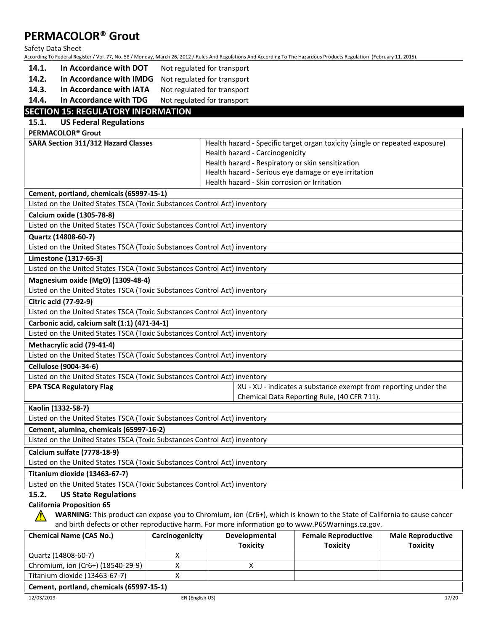#### Safety Data Sheet

According To Federal Register / Vol. 77, No. 58 / Monday, March 26, 2012 / Rules And Regulations And According To The Hazardous Products Regulation (February 11, 2015).

- **14.1. In Accordance with DOT** Not regulated for transport
- **14.2. In Accordance with IMDG** Not regulated for transport
- **14.3. In Accordance with IATA** Not regulated for transport
- **14.4. In Accordance with TDG** Not regulated for transport

## **SECTION 15: REGULATORY INFORMATION**

| <b>SECTION 15: REGULATORY INFORMATION</b>                                 |                                                                              |  |
|---------------------------------------------------------------------------|------------------------------------------------------------------------------|--|
| 15.1.<br><b>US Federal Regulations</b>                                    |                                                                              |  |
| PERMACOLOR <sup>®</sup> Grout                                             |                                                                              |  |
| SARA Section 311/312 Hazard Classes                                       | Health hazard - Specific target organ toxicity (single or repeated exposure) |  |
|                                                                           | Health hazard - Carcinogenicity                                              |  |
|                                                                           | Health hazard - Respiratory or skin sensitization                            |  |
|                                                                           | Health hazard - Serious eye damage or eye irritation                         |  |
|                                                                           | Health hazard - Skin corrosion or Irritation                                 |  |
| Cement, portland, chemicals (65997-15-1)                                  |                                                                              |  |
| Listed on the United States TSCA (Toxic Substances Control Act) inventory |                                                                              |  |
| Calcium oxide (1305-78-8)                                                 |                                                                              |  |
| Listed on the United States TSCA (Toxic Substances Control Act) inventory |                                                                              |  |
| Quartz (14808-60-7)                                                       |                                                                              |  |
| Listed on the United States TSCA (Toxic Substances Control Act) inventory |                                                                              |  |
| Limestone (1317-65-3)                                                     |                                                                              |  |
| Listed on the United States TSCA (Toxic Substances Control Act) inventory |                                                                              |  |
| Magnesium oxide (MgO) (1309-48-4)                                         |                                                                              |  |
| Listed on the United States TSCA (Toxic Substances Control Act) inventory |                                                                              |  |
| <b>Citric acid (77-92-9)</b>                                              |                                                                              |  |
| Listed on the United States TSCA (Toxic Substances Control Act) inventory |                                                                              |  |
| Carbonic acid, calcium salt (1:1) (471-34-1)                              |                                                                              |  |
| Listed on the United States TSCA (Toxic Substances Control Act) inventory |                                                                              |  |
| Methacrylic acid (79-41-4)                                                |                                                                              |  |
| Listed on the United States TSCA (Toxic Substances Control Act) inventory |                                                                              |  |
| <b>Cellulose (9004-34-6)</b>                                              |                                                                              |  |
| Listed on the United States TSCA (Toxic Substances Control Act) inventory |                                                                              |  |
| <b>EPA TSCA Regulatory Flag</b>                                           | XU - XU - indicates a substance exempt from reporting under the              |  |
|                                                                           | Chemical Data Reporting Rule, (40 CFR 711).                                  |  |
| Kaolin (1332-58-7)                                                        |                                                                              |  |
| Listed on the United States TSCA (Toxic Substances Control Act) inventory |                                                                              |  |
| Cement, alumina, chemicals (65997-16-2)                                   |                                                                              |  |
| Listed on the United States TSCA (Toxic Substances Control Act) inventory |                                                                              |  |
| Calcium sulfate (7778-18-9)                                               |                                                                              |  |
| Listed on the United States TSCA (Toxic Substances Control Act) inventory |                                                                              |  |
| Titanium dioxide (13463-67-7)                                             |                                                                              |  |
|                                                                           |                                                                              |  |

Listed on the United States TSCA (Toxic Substances Control Act) inventory

#### **15.2. US State Regulations**

### **California Proposition 65**

**WARNING:** This product can expose you to Chromium, ion (Cr6+), which is known to the State of California to cause cancer and birth defects or other reproductive harm. For more information go to www.P65Warnings.ca.gov.

| <b>Chemical Name (CAS No.)</b>         | Carcinogenicity | Developmental   | <b>Female Reproductive</b> | <b>Male Reproductive</b> |
|----------------------------------------|-----------------|-----------------|----------------------------|--------------------------|
|                                        |                 | <b>Toxicity</b> | <b>Toxicity</b>            | <b>Toxicity</b>          |
| Quartz (14808-60-7)                    |                 |                 |                            |                          |
| Chromium, ion (Cr6+) (18540-29-9)      |                 |                 |                            |                          |
| Titanium dioxide (13463-67-7)          |                 |                 |                            |                          |
| Coment nortland chemicals (65997-15-1) |                 |                 |                            |                          |

#### **Cement, portland, chemicals (65997-15-1)**

 $\sqrt{r}$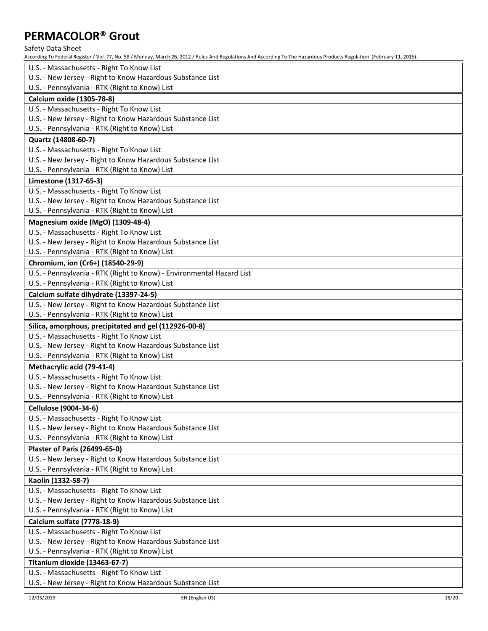| PERIVIALULUR <sup>®</sup> Groul                                                                                                                                          |
|--------------------------------------------------------------------------------------------------------------------------------------------------------------------------|
| Safety Data Sheet                                                                                                                                                        |
| According To Federal Register / Vol. 77, No. 58 / Monday, March 26, 2012 / Rules And Regulations And According To The Hazardous Products Regulation (February 11, 2015). |
| U.S. - Massachusetts - Right To Know List                                                                                                                                |
| U.S. - New Jersey - Right to Know Hazardous Substance List                                                                                                               |
| U.S. - Pennsylvania - RTK (Right to Know) List                                                                                                                           |
| <b>Calcium oxide (1305-78-8)</b>                                                                                                                                         |
| U.S. - Massachusetts - Right To Know List                                                                                                                                |
| U.S. - New Jersey - Right to Know Hazardous Substance List                                                                                                               |
| U.S. - Pennsylvania - RTK (Right to Know) List                                                                                                                           |
| Quartz (14808-60-7)                                                                                                                                                      |
| U.S. - Massachusetts - Right To Know List                                                                                                                                |
| U.S. - New Jersey - Right to Know Hazardous Substance List                                                                                                               |
| U.S. - Pennsylvania - RTK (Right to Know) List                                                                                                                           |
| Limestone (1317-65-3)                                                                                                                                                    |
| U.S. - Massachusetts - Right To Know List                                                                                                                                |
| U.S. - New Jersey - Right to Know Hazardous Substance List                                                                                                               |
| U.S. - Pennsylvania - RTK (Right to Know) List                                                                                                                           |
| Magnesium oxide (MgO) (1309-48-4)                                                                                                                                        |
| U.S. - Massachusetts - Right To Know List                                                                                                                                |
| U.S. - New Jersey - Right to Know Hazardous Substance List                                                                                                               |
| U.S. - Pennsylvania - RTK (Right to Know) List                                                                                                                           |
| Chromium, ion (Cr6+) (18540-29-9)                                                                                                                                        |
| U.S. - Pennsylvania - RTK (Right to Know) - Environmental Hazard List                                                                                                    |
| U.S. - Pennsylvania - RTK (Right to Know) List                                                                                                                           |
| Calcium sulfate dihydrate (13397-24-5)                                                                                                                                   |
| U.S. - New Jersey - Right to Know Hazardous Substance List                                                                                                               |
| U.S. - Pennsylvania - RTK (Right to Know) List                                                                                                                           |
| Silica, amorphous, precipitated and gel (112926-00-8)                                                                                                                    |
| U.S. - Massachusetts - Right To Know List                                                                                                                                |
| U.S. - New Jersey - Right to Know Hazardous Substance List<br>U.S. - Pennsylvania - RTK (Right to Know) List                                                             |
|                                                                                                                                                                          |
| Methacrylic acid (79-41-4)<br>U.S. - Massachusetts - Right To Know List                                                                                                  |
| U.S. - New Jersey - Right to Know Hazardous Substance List                                                                                                               |
| U.S. - Pennsylvania - RTK (Right to Know) List                                                                                                                           |
| Cellulose (9004-34-6)                                                                                                                                                    |
| U.S. - Massachusetts - Right To Know List                                                                                                                                |
| U.S. - New Jersey - Right to Know Hazardous Substance List                                                                                                               |
| U.S. - Pennsylvania - RTK (Right to Know) List                                                                                                                           |
| <b>Plaster of Paris (26499-65-0)</b>                                                                                                                                     |
| U.S. - New Jersey - Right to Know Hazardous Substance List                                                                                                               |
| U.S. - Pennsylvania - RTK (Right to Know) List                                                                                                                           |
| Kaolin (1332-58-7)                                                                                                                                                       |
| U.S. - Massachusetts - Right To Know List                                                                                                                                |
| U.S. - New Jersey - Right to Know Hazardous Substance List                                                                                                               |
| U.S. - Pennsylvania - RTK (Right to Know) List                                                                                                                           |
| Calcium sulfate (7778-18-9)                                                                                                                                              |
| U.S. - Massachusetts - Right To Know List                                                                                                                                |
| U.S. - New Jersey - Right to Know Hazardous Substance List                                                                                                               |
| U.S. - Pennsylvania - RTK (Right to Know) List                                                                                                                           |
| Titanium dioxide (13463-67-7)                                                                                                                                            |
| U.S. - Massachusetts - Right To Know List                                                                                                                                |
|                                                                                                                                                                          |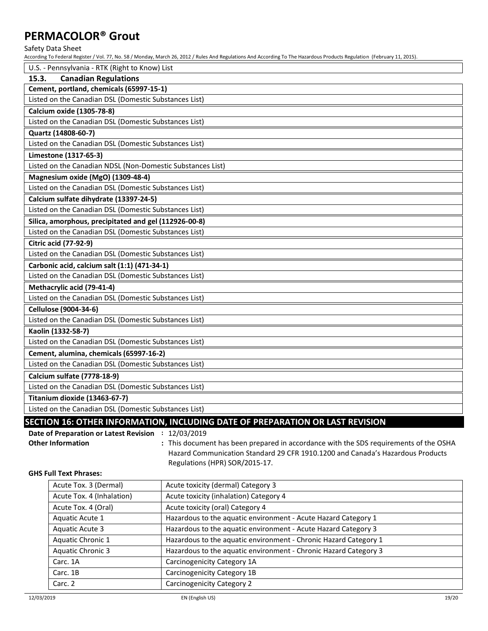Safety Data Sheet

According To Federal Register / Vol. 77, No. 58 / Monday, March 26, 2012 / Rules And Regulations And According To The Hazardous Products Regulation (February 11, 2015).

| U.S. - Pennsylvania - RTK (Right to Know) List                                |
|-------------------------------------------------------------------------------|
| 15.3.<br><b>Canadian Regulations</b>                                          |
| Cement, portland, chemicals (65997-15-1)                                      |
| Listed on the Canadian DSL (Domestic Substances List)                         |
| <b>Calcium oxide (1305-78-8)</b>                                              |
| Listed on the Canadian DSL (Domestic Substances List)                         |
| Quartz (14808-60-7)                                                           |
| Listed on the Canadian DSL (Domestic Substances List)                         |
| Limestone (1317-65-3)                                                         |
| Listed on the Canadian NDSL (Non-Domestic Substances List)                    |
| Magnesium oxide (MgO) (1309-48-4)                                             |
| Listed on the Canadian DSL (Domestic Substances List)                         |
| Calcium sulfate dihydrate (13397-24-5)                                        |
| Listed on the Canadian DSL (Domestic Substances List)                         |
| Silica, amorphous, precipitated and gel (112926-00-8)                         |
| Listed on the Canadian DSL (Domestic Substances List)                         |
| <b>Citric acid (77-92-9)</b>                                                  |
| Listed on the Canadian DSL (Domestic Substances List)                         |
| Carbonic acid, calcium salt (1:1) (471-34-1)                                  |
| Listed on the Canadian DSL (Domestic Substances List)                         |
| Methacrylic acid (79-41-4)                                                    |
| Listed on the Canadian DSL (Domestic Substances List)                         |
| <b>Cellulose (9004-34-6)</b>                                                  |
| Listed on the Canadian DSL (Domestic Substances List)                         |
| Kaolin (1332-58-7)                                                            |
| Listed on the Canadian DSL (Domestic Substances List)                         |
| Cement, alumina, chemicals (65997-16-2)                                       |
| Listed on the Canadian DSL (Domestic Substances List)                         |
| Calcium sulfate (7778-18-9)                                                   |
| Listed on the Canadian DSL (Domestic Substances List)                         |
| Titanium dioxide (13463-67-7)                                                 |
| Listed on the Canadian DSL (Domestic Substances List)                         |
| SECTION 16: OTHER INFORMATION, INCLUDING DATE OF PREPARATION OR LAST REVISION |
| Date of Preparation or Latest Revision : 12/03/2019                           |

**GHS Full Text Phrases:**

| Acute Tox. 3 (Dermal)     | Acute toxicity (dermal) Category 3                               |  |  |
|---------------------------|------------------------------------------------------------------|--|--|
| Acute Tox. 4 (Inhalation) | Acute toxicity (inhalation) Category 4                           |  |  |
| Acute Tox. 4 (Oral)       | Acute toxicity (oral) Category 4                                 |  |  |
| Aquatic Acute 1           | Hazardous to the aquatic environment - Acute Hazard Category 1   |  |  |
| Aquatic Acute 3           | Hazardous to the aquatic environment - Acute Hazard Category 3   |  |  |
| Aquatic Chronic 1         | Hazardous to the aquatic environment - Chronic Hazard Category 1 |  |  |
| <b>Aquatic Chronic 3</b>  | Hazardous to the aquatic environment - Chronic Hazard Category 3 |  |  |
| Carc. 1A                  | Carcinogenicity Category 1A                                      |  |  |
| Carc. 1B                  | Carcinogenicity Category 1B                                      |  |  |
| Carc. 2                   | <b>Carcinogenicity Category 2</b>                                |  |  |

**Other Information :** This document has been prepared in accordance with the SDS requirements of the OSHA

Regulations (HPR) SOR/2015-17.

Hazard Communication Standard 29 CFR 1910.1200 and Canada's Hazardous Products